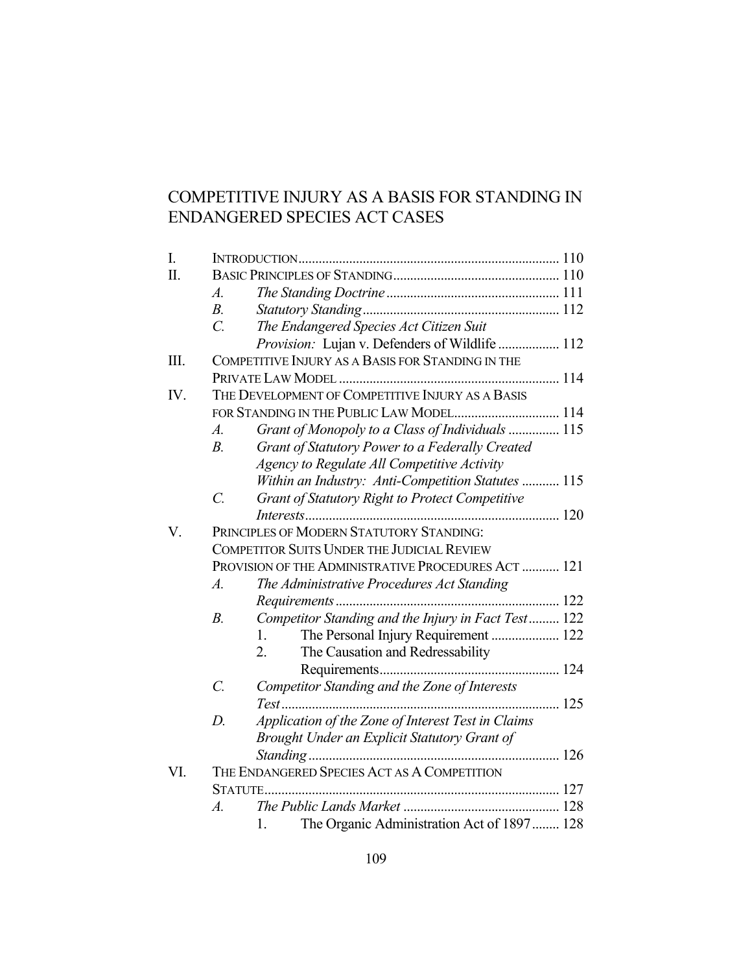# COMPETITIVE INJURY AS A BASIS FOR STANDING IN ENDANGERED SPECIES ACT CASES

| I.  |                                                     |                                                     |  |  |
|-----|-----------------------------------------------------|-----------------------------------------------------|--|--|
| Π.  |                                                     |                                                     |  |  |
|     | $\mathcal{A}$ .                                     |                                                     |  |  |
|     | $B_{\cdot}$                                         |                                                     |  |  |
|     | $\overline{C}$ .                                    | The Endangered Species Act Citizen Suit             |  |  |
|     |                                                     | Provision: Lujan v. Defenders of Wildlife  112      |  |  |
| Ш.  | COMPETITIVE INJURY AS A BASIS FOR STANDING IN THE   |                                                     |  |  |
|     |                                                     |                                                     |  |  |
| IV. | THE DEVELOPMENT OF COMPETITIVE INJURY AS A BASIS    |                                                     |  |  |
|     |                                                     | FOR STANDING IN THE PUBLIC LAW MODEL 114            |  |  |
|     | A.                                                  | Grant of Monopoly to a Class of Individuals  115    |  |  |
|     | $B$ .                                               | Grant of Statutory Power to a Federally Created     |  |  |
|     |                                                     | Agency to Regulate All Competitive Activity         |  |  |
|     |                                                     | Within an Industry: Anti-Competition Statutes  115  |  |  |
|     | $\overline{C}$ .                                    | Grant of Statutory Right to Protect Competitive     |  |  |
|     |                                                     |                                                     |  |  |
| V.  |                                                     | PRINCIPLES OF MODERN STATUTORY STANDING:            |  |  |
|     | <b>COMPETITOR SUITS UNDER THE JUDICIAL REVIEW</b>   |                                                     |  |  |
|     | PROVISION OF THE ADMINISTRATIVE PROCEDURES ACT  121 |                                                     |  |  |
|     | $\overline{A}$ .                                    | The Administrative Procedures Act Standing          |  |  |
|     |                                                     |                                                     |  |  |
|     | $B$ .                                               | Competitor Standing and the Injury in Fact Test 122 |  |  |
|     |                                                     | The Personal Injury Requirement  122<br>1.          |  |  |
|     |                                                     | 2.<br>The Causation and Redressability              |  |  |
|     |                                                     |                                                     |  |  |
|     | $\mathcal{C}$ .                                     | Competitor Standing and the Zone of Interests       |  |  |
|     |                                                     |                                                     |  |  |
|     | $D$ .                                               | Application of the Zone of Interest Test in Claims  |  |  |
|     |                                                     | Brought Under an Explicit Statutory Grant of        |  |  |
|     |                                                     |                                                     |  |  |
| VI. | THE ENDANGERED SPECIES ACT AS A COMPETITION         |                                                     |  |  |
|     |                                                     |                                                     |  |  |
|     | $\overline{A}$ .                                    |                                                     |  |  |
|     |                                                     | The Organic Administration Act of 1897 128<br>1.    |  |  |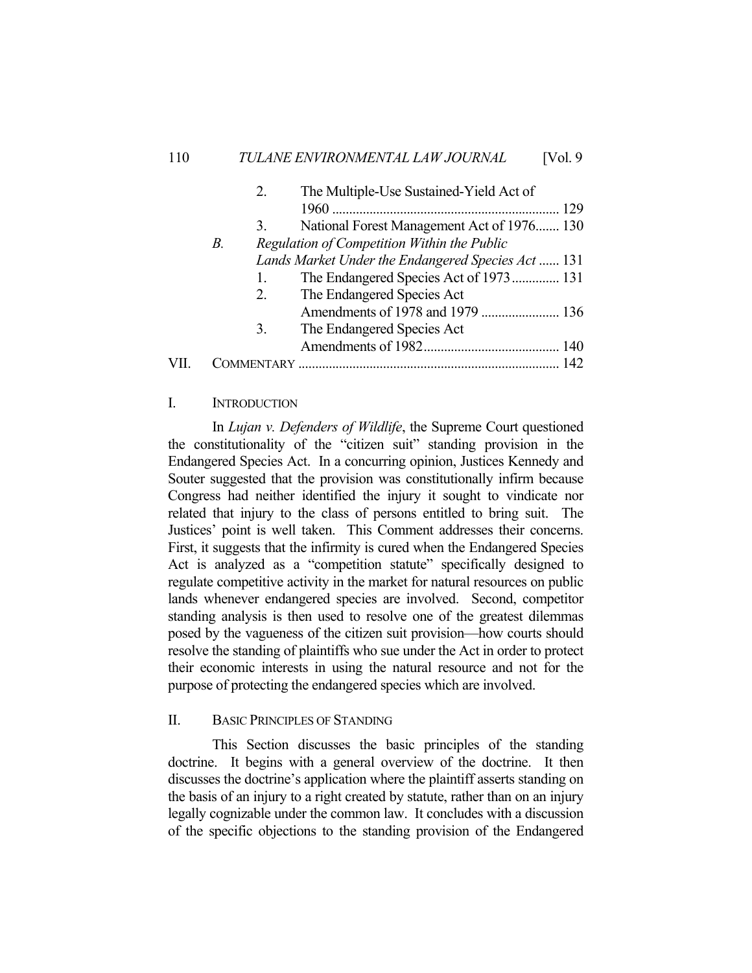|                                                   | 2. | The Multiple-Use Sustained-Yield Act of            |
|---------------------------------------------------|----|----------------------------------------------------|
|                                                   |    | 129                                                |
|                                                   | 3. | National Forest Management Act of 1976 130         |
| Regulation of Competition Within the Public<br>В. |    |                                                    |
|                                                   |    | Lands Market Under the Endangered Species Act  131 |
|                                                   | 1. | The Endangered Species Act of 1973 131             |
|                                                   | 2. | The Endangered Species Act                         |
|                                                   |    |                                                    |
|                                                   | 3. | The Endangered Species Act                         |
|                                                   |    |                                                    |
|                                                   |    |                                                    |
|                                                   |    |                                                    |

# I. INTRODUCTION

 In *Lujan v. Defenders of Wildlife*, the Supreme Court questioned the constitutionality of the "citizen suit" standing provision in the Endangered Species Act. In a concurring opinion, Justices Kennedy and Souter suggested that the provision was constitutionally infirm because Congress had neither identified the injury it sought to vindicate nor related that injury to the class of persons entitled to bring suit. The Justices' point is well taken. This Comment addresses their concerns. First, it suggests that the infirmity is cured when the Endangered Species Act is analyzed as a "competition statute" specifically designed to regulate competitive activity in the market for natural resources on public lands whenever endangered species are involved. Second, competitor standing analysis is then used to resolve one of the greatest dilemmas posed by the vagueness of the citizen suit provision—how courts should resolve the standing of plaintiffs who sue under the Act in order to protect their economic interests in using the natural resource and not for the purpose of protecting the endangered species which are involved.

#### II. BASIC PRINCIPLES OF STANDING

 This Section discusses the basic principles of the standing doctrine. It begins with a general overview of the doctrine. It then discusses the doctrine's application where the plaintiff asserts standing on the basis of an injury to a right created by statute, rather than on an injury legally cognizable under the common law. It concludes with a discussion of the specific objections to the standing provision of the Endangered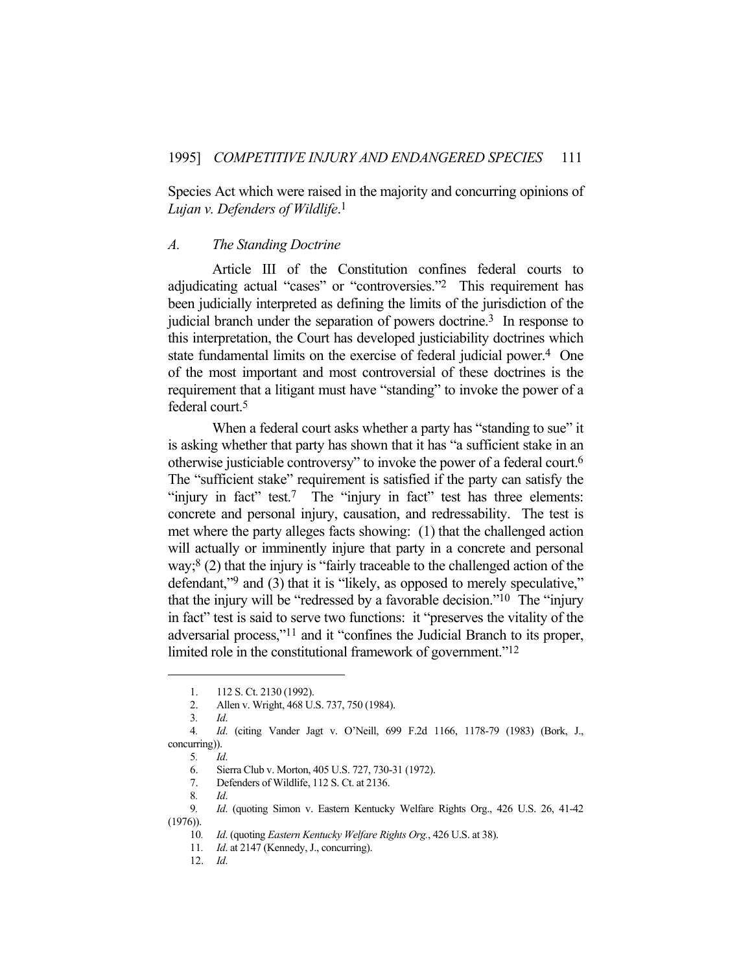Species Act which were raised in the majority and concurring opinions of *Lujan v. Defenders of Wildlife*. 1

### *A. The Standing Doctrine*

 Article III of the Constitution confines federal courts to adjudicating actual "cases" or "controversies."2 This requirement has been judicially interpreted as defining the limits of the jurisdiction of the judicial branch under the separation of powers doctrine.<sup>3</sup> In response to this interpretation, the Court has developed justiciability doctrines which state fundamental limits on the exercise of federal judicial power.<sup>4</sup> One of the most important and most controversial of these doctrines is the requirement that a litigant must have "standing" to invoke the power of a federal court.5

When a federal court asks whether a party has "standing to sue" it is asking whether that party has shown that it has "a sufficient stake in an otherwise justiciable controversy" to invoke the power of a federal court.6 The "sufficient stake" requirement is satisfied if the party can satisfy the "injury in fact" test.<sup>7</sup> The "injury in fact" test has three elements: concrete and personal injury, causation, and redressability. The test is met where the party alleges facts showing: (1) that the challenged action will actually or imminently injure that party in a concrete and personal way;8 (2) that the injury is "fairly traceable to the challenged action of the defendant,"<sup>9</sup> and (3) that it is "likely, as opposed to merely speculative," that the injury will be "redressed by a favorable decision."<sup>10</sup> The "injury" in fact" test is said to serve two functions: it "preserves the vitality of the adversarial process,"11 and it "confines the Judicial Branch to its proper, limited role in the constitutional framework of government."<sup>12</sup>

12. *Id*.

 <sup>1. 112</sup> S. Ct. 2130 (1992).

 <sup>2.</sup> Allen v. Wright, 468 U.S. 737, 750 (1984).

<sup>3</sup>*. Id*.

<sup>4</sup>*. Id*. (citing Vander Jagt v. O'Neill, 699 F.2d 1166, 1178-79 (1983) (Bork, J., concurring)).

<sup>5</sup>*. Id*.

 <sup>6.</sup> Sierra Club v. Morton, 405 U.S. 727, 730-31 (1972).

 <sup>7.</sup> Defenders of Wildlife, 112 S. Ct. at 2136.

<sup>8</sup>*. Id*.

<sup>9</sup>*. Id*. (quoting Simon v. Eastern Kentucky Welfare Rights Org., 426 U.S. 26, 41-42 (1976)).

<sup>10</sup>*. Id*. (quoting *Eastern Kentucky Welfare Rights Org.*, 426 U.S. at 38).

<sup>11</sup>*. Id*. at 2147 (Kennedy, J., concurring).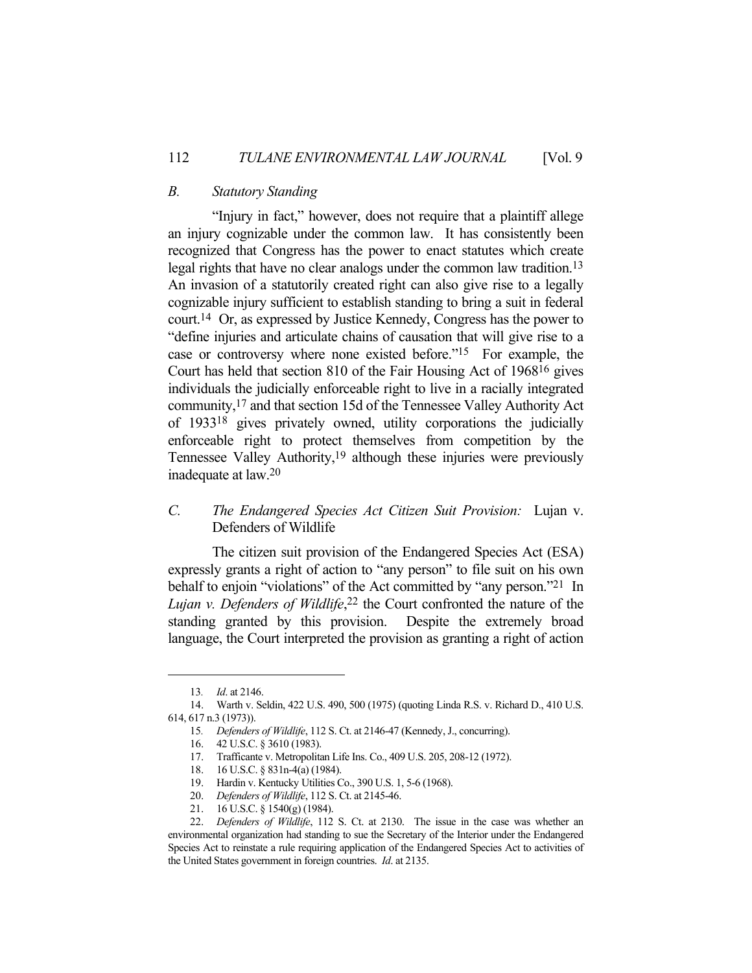# *B. Statutory Standing*

 "Injury in fact," however, does not require that a plaintiff allege an injury cognizable under the common law. It has consistently been recognized that Congress has the power to enact statutes which create legal rights that have no clear analogs under the common law tradition.13 An invasion of a statutorily created right can also give rise to a legally cognizable injury sufficient to establish standing to bring a suit in federal court.14 Or, as expressed by Justice Kennedy, Congress has the power to "define injuries and articulate chains of causation that will give rise to a case or controversy where none existed before."15 For example, the Court has held that section 810 of the Fair Housing Act of 196816 gives individuals the judicially enforceable right to live in a racially integrated community,17 and that section 15d of the Tennessee Valley Authority Act of 193318 gives privately owned, utility corporations the judicially enforceable right to protect themselves from competition by the Tennessee Valley Authority,<sup>19</sup> although these injuries were previously inadequate at law.20

# *C. The Endangered Species Act Citizen Suit Provision:* Lujan v. Defenders of Wildlife

 The citizen suit provision of the Endangered Species Act (ESA) expressly grants a right of action to "any person" to file suit on his own behalf to enjoin "violations" of the Act committed by "any person."21 In *Lujan v. Defenders of Wildlife*, 22 the Court confronted the nature of the standing granted by this provision. Despite the extremely broad language, the Court interpreted the provision as granting a right of action

<sup>13</sup>*. Id*. at 2146.

 <sup>14.</sup> Warth v. Seldin, 422 U.S. 490, 500 (1975) (quoting Linda R.S. v. Richard D., 410 U.S. 614, 617 n.3 (1973)).

<sup>15</sup>*. Defenders of Wildlife*, 112 S. Ct. at 2146-47 (Kennedy, J., concurring).

 <sup>16. 42</sup> U.S.C. § 3610 (1983).

 <sup>17.</sup> Trafficante v. Metropolitan Life Ins. Co., 409 U.S. 205, 208-12 (1972).

 <sup>18. 16</sup> U.S.C. § 831n-4(a) (1984).

 <sup>19.</sup> Hardin v. Kentucky Utilities Co., 390 U.S. 1, 5-6 (1968).

 <sup>20.</sup> *Defenders of Wildlife*, 112 S. Ct. at 2145-46.

 <sup>21. 16</sup> U.S.C. § 1540(g) (1984).

 <sup>22.</sup> *Defenders of Wildlife*, 112 S. Ct. at 2130. The issue in the case was whether an environmental organization had standing to sue the Secretary of the Interior under the Endangered Species Act to reinstate a rule requiring application of the Endangered Species Act to activities of the United States government in foreign countries. *Id*. at 2135.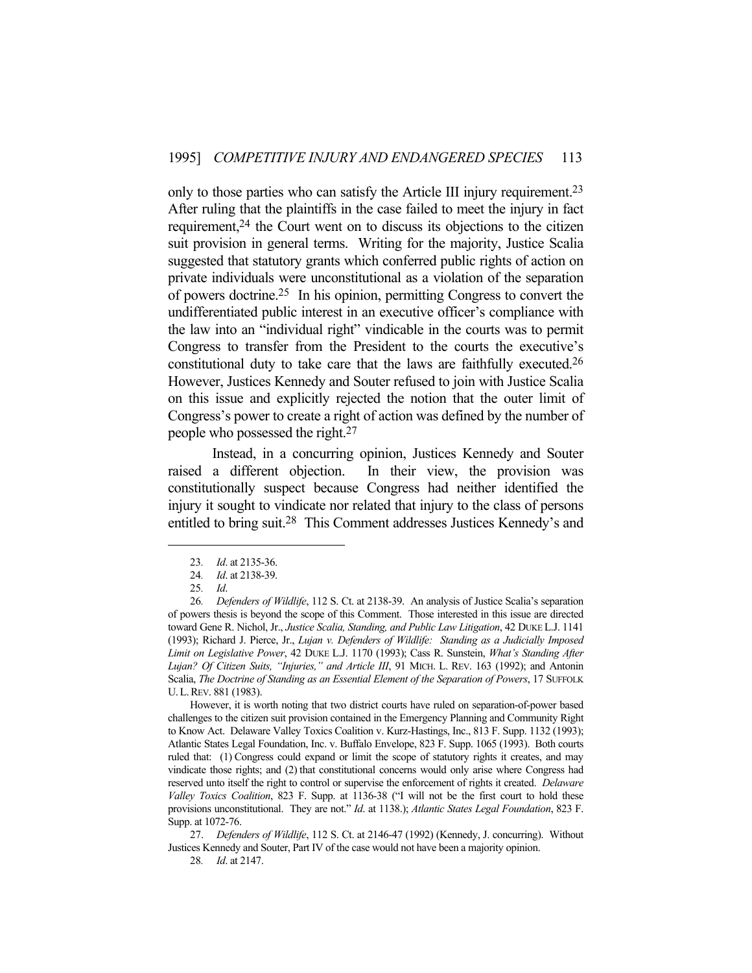only to those parties who can satisfy the Article III injury requirement.<sup>23</sup> After ruling that the plaintiffs in the case failed to meet the injury in fact requirement,24 the Court went on to discuss its objections to the citizen suit provision in general terms. Writing for the majority, Justice Scalia suggested that statutory grants which conferred public rights of action on private individuals were unconstitutional as a violation of the separation of powers doctrine.25 In his opinion, permitting Congress to convert the undifferentiated public interest in an executive officer's compliance with the law into an "individual right" vindicable in the courts was to permit Congress to transfer from the President to the courts the executive's constitutional duty to take care that the laws are faithfully executed.26 However, Justices Kennedy and Souter refused to join with Justice Scalia on this issue and explicitly rejected the notion that the outer limit of Congress's power to create a right of action was defined by the number of people who possessed the right.27

 Instead, in a concurring opinion, Justices Kennedy and Souter raised a different objection. In their view, the provision was constitutionally suspect because Congress had neither identified the injury it sought to vindicate nor related that injury to the class of persons entitled to bring suit.28 This Comment addresses Justices Kennedy's and

 However, it is worth noting that two district courts have ruled on separation-of-power based challenges to the citizen suit provision contained in the Emergency Planning and Community Right to Know Act. Delaware Valley Toxics Coalition v. Kurz-Hastings, Inc., 813 F. Supp. 1132 (1993); Atlantic States Legal Foundation, Inc. v. Buffalo Envelope, 823 F. Supp. 1065 (1993). Both courts ruled that: (1) Congress could expand or limit the scope of statutory rights it creates, and may vindicate those rights; and (2) that constitutional concerns would only arise where Congress had reserved unto itself the right to control or supervise the enforcement of rights it created. *Delaware Valley Toxics Coalition*, 823 F. Supp. at 1136-38 ("I will not be the first court to hold these provisions unconstitutional. They are not." *Id*. at 1138.); *Atlantic States Legal Foundation*, 823 F. Supp. at 1072-76.

 27. *Defenders of Wildlife*, 112 S. Ct. at 2146-47 (1992) (Kennedy, J. concurring). Without Justices Kennedy and Souter, Part IV of the case would not have been a majority opinion.

<sup>23</sup>*. Id*. at 2135-36.

<sup>24</sup>*. Id*. at 2138-39.

<sup>25</sup>*. Id*.

<sup>26</sup>*. Defenders of Wildlife*, 112 S. Ct. at 2138-39. An analysis of Justice Scalia's separation of powers thesis is beyond the scope of this Comment. Those interested in this issue are directed toward Gene R. Nichol, Jr., *Justice Scalia, Standing, and Public Law Litigation*, 42 DUKE L.J. 1141 (1993); Richard J. Pierce, Jr., *Lujan v. Defenders of Wildlife: Standing as a Judicially Imposed Limit on Legislative Power*, 42 DUKE L.J. 1170 (1993); Cass R. Sunstein, *What's Standing After Lujan? Of Citizen Suits, "Injuries," and Article III*, 91 MICH. L. REV. 163 (1992); and Antonin Scalia, *The Doctrine of Standing as an Essential Element of the Separation of Powers*, 17 SUFFOLK U.L.REV. 881 (1983).

<sup>28</sup>*. Id*. at 2147.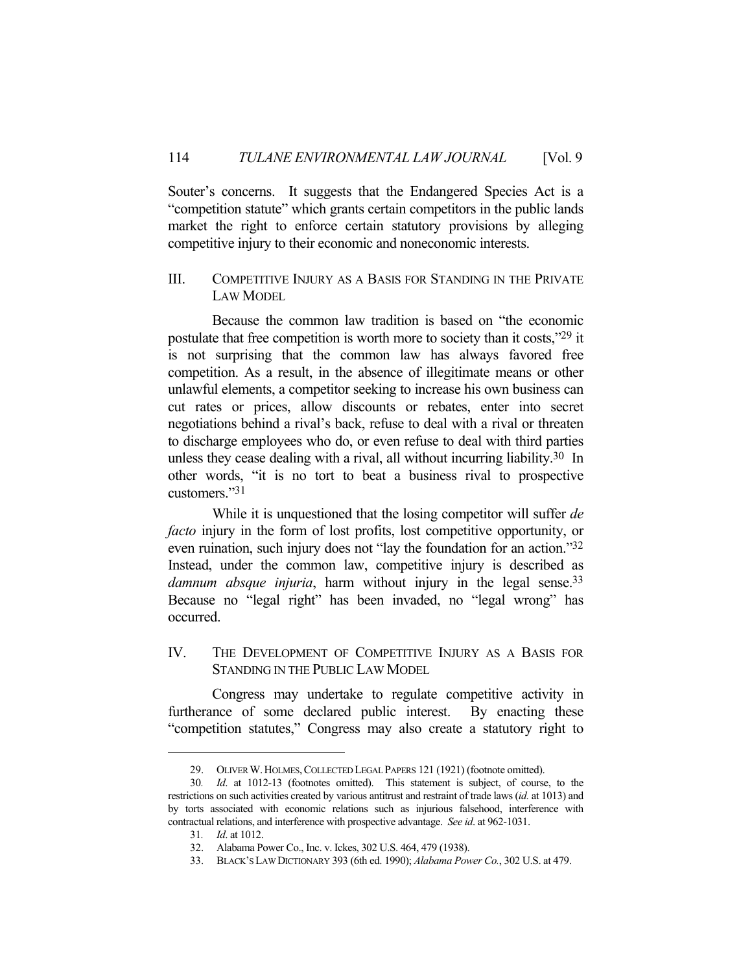Souter's concerns. It suggests that the Endangered Species Act is a "competition statute" which grants certain competitors in the public lands market the right to enforce certain statutory provisions by alleging competitive injury to their economic and noneconomic interests.

# III. COMPETITIVE INJURY AS A BASIS FOR STANDING IN THE PRIVATE LAW MODEL

 Because the common law tradition is based on "the economic postulate that free competition is worth more to society than it costs,"29 it is not surprising that the common law has always favored free competition. As a result, in the absence of illegitimate means or other unlawful elements, a competitor seeking to increase his own business can cut rates or prices, allow discounts or rebates, enter into secret negotiations behind a rival's back, refuse to deal with a rival or threaten to discharge employees who do, or even refuse to deal with third parties unless they cease dealing with a rival, all without incurring liability.<sup>30</sup> In other words, "it is no tort to beat a business rival to prospective customers."31

 While it is unquestioned that the losing competitor will suffer *de facto* injury in the form of lost profits, lost competitive opportunity, or even ruination, such injury does not "lay the foundation for an action."32 Instead, under the common law, competitive injury is described as damnum absque injuria, harm without injury in the legal sense.<sup>33</sup> Because no "legal right" has been invaded, no "legal wrong" has occurred.

# IV. THE DEVELOPMENT OF COMPETITIVE INJURY AS A BASIS FOR STANDING IN THE PUBLIC LAW MODEL

 Congress may undertake to regulate competitive activity in furtherance of some declared public interest. By enacting these "competition statutes," Congress may also create a statutory right to

 <sup>29.</sup> OLIVER W.HOLMES,COLLECTED LEGAL PAPERS 121 (1921) (footnote omitted).

<sup>30</sup>*. Id*. at 1012-13 (footnotes omitted). This statement is subject, of course, to the restrictions on such activities created by various antitrust and restraint of trade laws (*id.* at 1013) and by torts associated with economic relations such as injurious falsehood, interference with contractual relations, and interference with prospective advantage. *See id*. at 962-1031.

<sup>31</sup>*. Id*. at 1012.

 <sup>32.</sup> Alabama Power Co., Inc. v. Ickes, 302 U.S. 464, 479 (1938).

 <sup>33.</sup> BLACK'S LAW DICTIONARY 393 (6th ed. 1990); *Alabama Power Co.*, 302 U.S. at 479.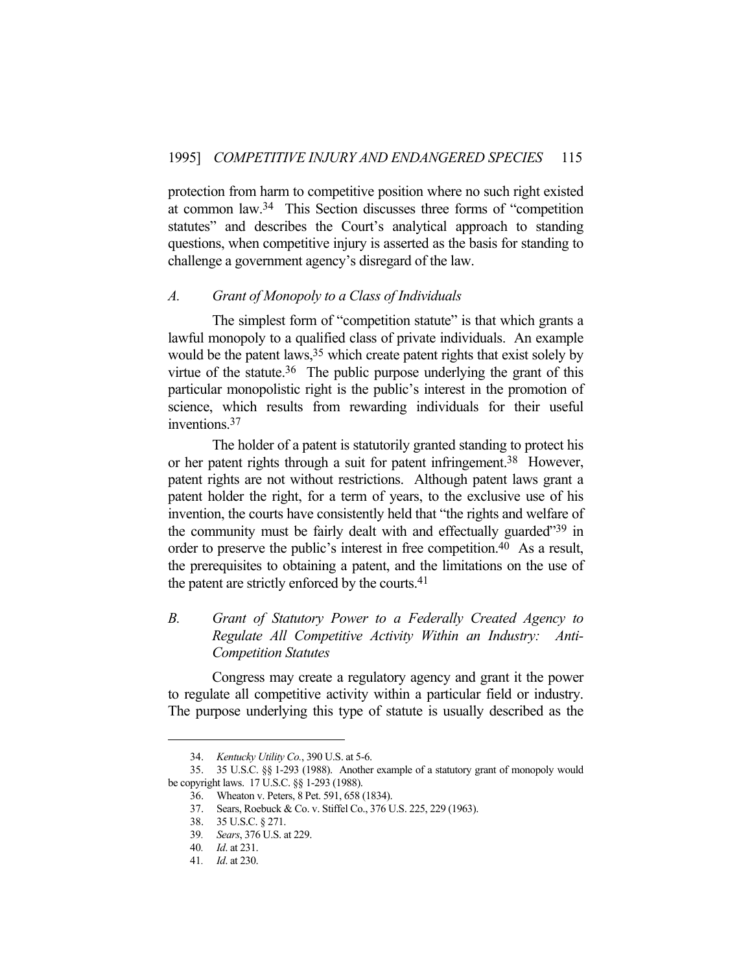protection from harm to competitive position where no such right existed at common law.34 This Section discusses three forms of "competition statutes" and describes the Court's analytical approach to standing questions, when competitive injury is asserted as the basis for standing to challenge a government agency's disregard of the law.

# *A. Grant of Monopoly to a Class of Individuals*

The simplest form of "competition statute" is that which grants a lawful monopoly to a qualified class of private individuals. An example would be the patent laws,  $35$  which create patent rights that exist solely by virtue of the statute.<sup>36</sup> The public purpose underlying the grant of this particular monopolistic right is the public's interest in the promotion of science, which results from rewarding individuals for their useful inventions.37

 The holder of a patent is statutorily granted standing to protect his or her patent rights through a suit for patent infringement.38 However, patent rights are not without restrictions. Although patent laws grant a patent holder the right, for a term of years, to the exclusive use of his invention, the courts have consistently held that "the rights and welfare of the community must be fairly dealt with and effectually guarded"39 in order to preserve the public's interest in free competition.<sup>40</sup> As a result, the prerequisites to obtaining a patent, and the limitations on the use of the patent are strictly enforced by the courts.41

# *B. Grant of Statutory Power to a Federally Created Agency to Regulate All Competitive Activity Within an Industry: Anti-Competition Statutes*

 Congress may create a regulatory agency and grant it the power to regulate all competitive activity within a particular field or industry. The purpose underlying this type of statute is usually described as the

 <sup>34.</sup> *Kentucky Utility Co.*, 390 U.S. at 5-6.

 <sup>35. 35</sup> U.S.C. §§ 1-293 (1988). Another example of a statutory grant of monopoly would be copyright laws. 17 U.S.C. §§ 1-293 (1988).

 <sup>36.</sup> Wheaton v. Peters, 8 Pet. 591, 658 (1834).

 <sup>37.</sup> Sears, Roebuck & Co. v. Stiffel Co., 376 U.S. 225, 229 (1963).

 <sup>38. 35</sup> U.S.C. § 271.

<sup>39</sup>*. Sears*, 376 U.S. at 229.

<sup>40</sup>*. Id*. at 231.

<sup>41</sup>*. Id*. at 230.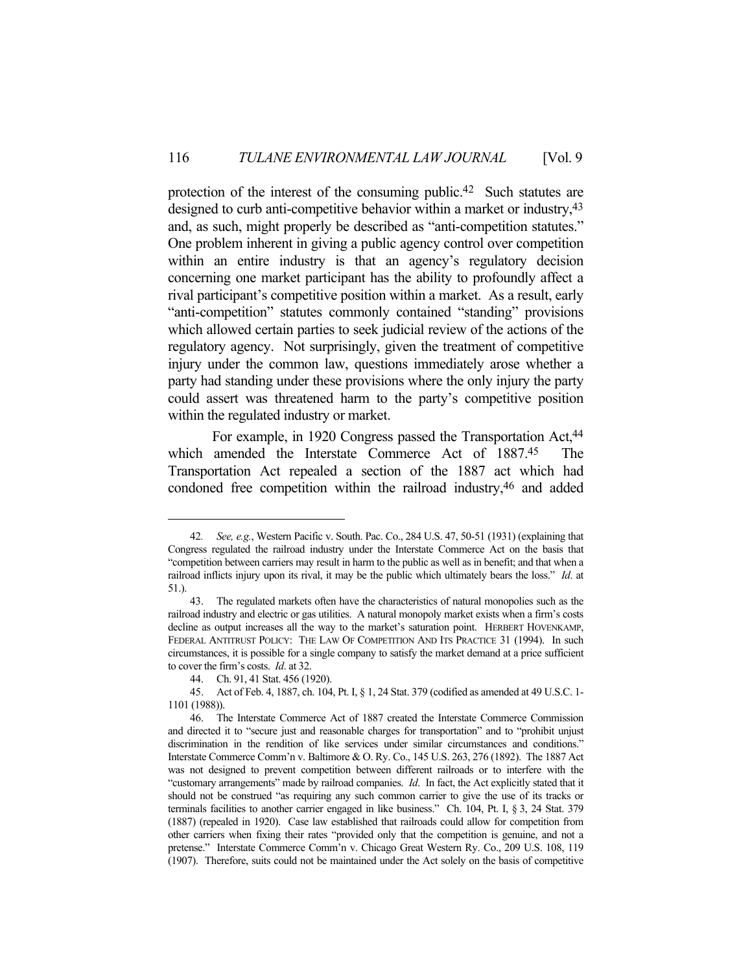protection of the interest of the consuming public.42 Such statutes are designed to curb anti-competitive behavior within a market or industry, <sup>43</sup> and, as such, might properly be described as "anti-competition statutes." One problem inherent in giving a public agency control over competition within an entire industry is that an agency's regulatory decision concerning one market participant has the ability to profoundly affect a rival participant's competitive position within a market. As a result, early "anti-competition" statutes commonly contained "standing" provisions which allowed certain parties to seek judicial review of the actions of the regulatory agency. Not surprisingly, given the treatment of competitive injury under the common law, questions immediately arose whether a party had standing under these provisions where the only injury the party could assert was threatened harm to the party's competitive position within the regulated industry or market.

For example, in 1920 Congress passed the Transportation Act,<sup>44</sup> which amended the Interstate Commerce Act of 1887.45 The Transportation Act repealed a section of the 1887 act which had condoned free competition within the railroad industry, 46 and added

<sup>42</sup>*. See, e.g.*, Western Pacific v. South. Pac. Co., 284 U.S. 47, 50-51 (1931) (explaining that Congress regulated the railroad industry under the Interstate Commerce Act on the basis that "competition between carriers may result in harm to the public as well as in benefit; and that when a railroad inflicts injury upon its rival, it may be the public which ultimately bears the loss." *Id*. at 51.).

 <sup>43.</sup> The regulated markets often have the characteristics of natural monopolies such as the railroad industry and electric or gas utilities. A natural monopoly market exists when a firm's costs decline as output increases all the way to the market's saturation point. HERBERT HOVENKAMP, FEDERAL ANTITRUST POLICY: THE LAW OF COMPETITION AND ITS PRACTICE 31 (1994). In such circumstances, it is possible for a single company to satisfy the market demand at a price sufficient to cover the firm's costs. *Id*. at 32.

 <sup>44.</sup> Ch. 91, 41 Stat. 456 (1920).

 <sup>45.</sup> Act of Feb. 4, 1887, ch. 104, Pt. I, § 1, 24 Stat. 379 (codified as amended at 49 U.S.C. 1- 1101 (1988)).

 <sup>46.</sup> The Interstate Commerce Act of 1887 created the Interstate Commerce Commission and directed it to "secure just and reasonable charges for transportation" and to "prohibit unjust discrimination in the rendition of like services under similar circumstances and conditions." Interstate Commerce Comm'n v. Baltimore & O. Ry. Co., 145 U.S. 263, 276 (1892). The 1887 Act was not designed to prevent competition between different railroads or to interfere with the "customary arrangements" made by railroad companies. *Id*. In fact, the Act explicitly stated that it should not be construed "as requiring any such common carrier to give the use of its tracks or terminals facilities to another carrier engaged in like business." Ch. 104, Pt. I, § 3, 24 Stat. 379 (1887) (repealed in 1920). Case law established that railroads could allow for competition from other carriers when fixing their rates "provided only that the competition is genuine, and not a pretense." Interstate Commerce Comm'n v. Chicago Great Western Ry. Co., 209 U.S. 108, 119 (1907). Therefore, suits could not be maintained under the Act solely on the basis of competitive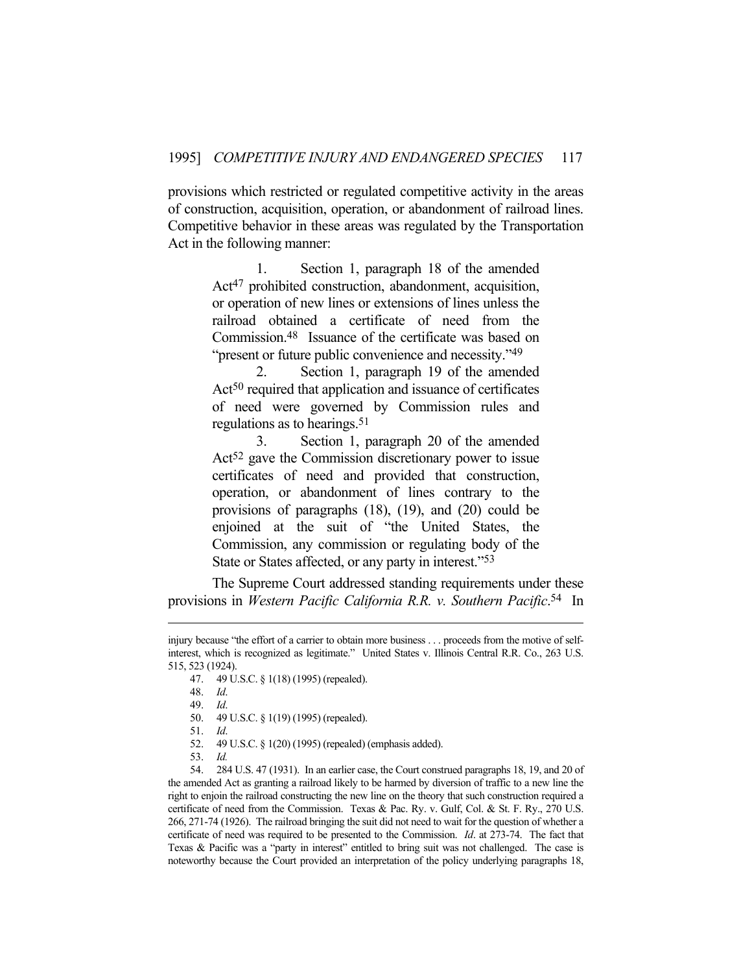provisions which restricted or regulated competitive activity in the areas of construction, acquisition, operation, or abandonment of railroad lines. Competitive behavior in these areas was regulated by the Transportation Act in the following manner:

> 1. Section 1, paragraph 18 of the amended Act<sup>47</sup> prohibited construction, abandonment, acquisition, or operation of new lines or extensions of lines unless the railroad obtained a certificate of need from the Commission.48 Issuance of the certificate was based on "present or future public convenience and necessity."<sup>49</sup>

> 2. Section 1, paragraph 19 of the amended Act<sup>50</sup> required that application and issuance of certificates of need were governed by Commission rules and regulations as to hearings.51

> 3. Section 1, paragraph 20 of the amended Act<sup>52</sup> gave the Commission discretionary power to issue certificates of need and provided that construction, operation, or abandonment of lines contrary to the provisions of paragraphs (18), (19), and (20) could be enjoined at the suit of "the United States, the Commission, any commission or regulating body of the State or States affected, or any party in interest."53

 The Supreme Court addressed standing requirements under these provisions in *Western Pacific California R.R. v. Southern Pacific*. 54 In

- 52. 49 U.S.C. § 1(20) (1995) (repealed) (emphasis added).
- 53. *Id.*

 54. 284 U.S. 47 (1931). In an earlier case, the Court construed paragraphs 18, 19, and 20 of the amended Act as granting a railroad likely to be harmed by diversion of traffic to a new line the right to enjoin the railroad constructing the new line on the theory that such construction required a certificate of need from the Commission. Texas & Pac. Ry. v. Gulf, Col. & St. F. Ry., 270 U.S. 266, 271-74 (1926). The railroad bringing the suit did not need to wait for the question of whether a certificate of need was required to be presented to the Commission. *Id*. at 273-74. The fact that Texas & Pacific was a "party in interest" entitled to bring suit was not challenged. The case is noteworthy because the Court provided an interpretation of the policy underlying paragraphs 18,

injury because "the effort of a carrier to obtain more business . . . proceeds from the motive of selfinterest, which is recognized as legitimate." United States v. Illinois Central R.R. Co., 263 U.S. 515, 523 (1924).

 <sup>47. 49</sup> U.S.C. § 1(18) (1995) (repealed).

 <sup>48.</sup> *Id*.

 <sup>49.</sup> *Id*.

 <sup>50. 49</sup> U.S.C. § 1(19) (1995) (repealed).

 <sup>51.</sup> *Id*.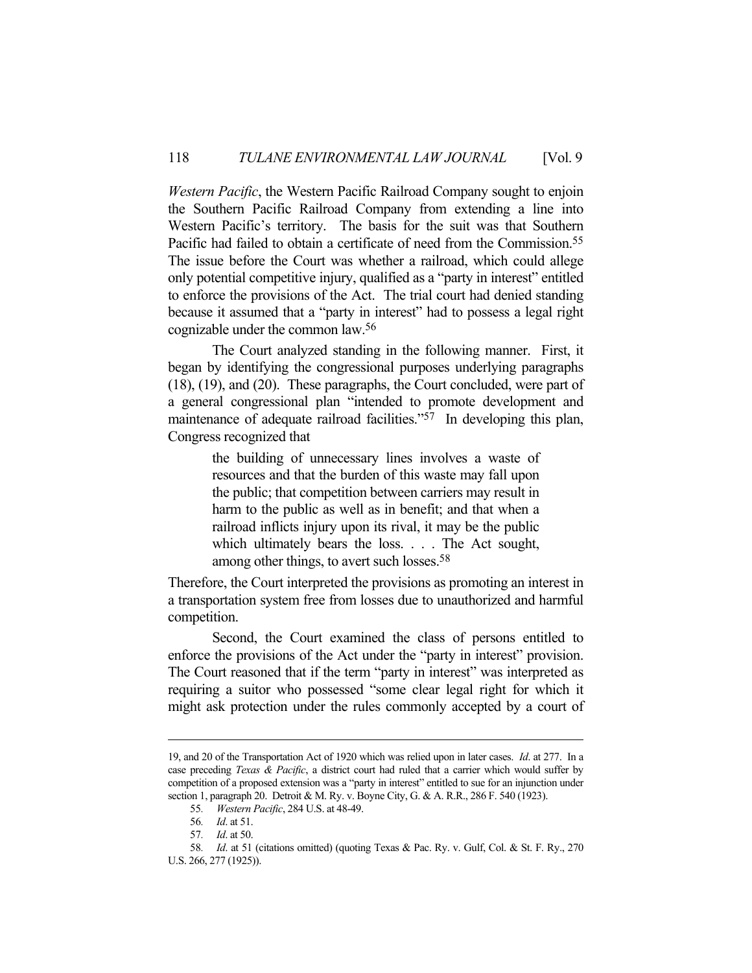*Western Pacific*, the Western Pacific Railroad Company sought to enjoin the Southern Pacific Railroad Company from extending a line into Western Pacific's territory. The basis for the suit was that Southern Pacific had failed to obtain a certificate of need from the Commission.<sup>55</sup> The issue before the Court was whether a railroad, which could allege only potential competitive injury, qualified as a "party in interest" entitled to enforce the provisions of the Act. The trial court had denied standing because it assumed that a "party in interest" had to possess a legal right cognizable under the common law.56

 The Court analyzed standing in the following manner. First, it began by identifying the congressional purposes underlying paragraphs (18), (19), and (20). These paragraphs, the Court concluded, were part of a general congressional plan "intended to promote development and maintenance of adequate railroad facilities."<sup>57</sup> In developing this plan, Congress recognized that

> the building of unnecessary lines involves a waste of resources and that the burden of this waste may fall upon the public; that competition between carriers may result in harm to the public as well as in benefit; and that when a railroad inflicts injury upon its rival, it may be the public which ultimately bears the loss. . . . The Act sought, among other things, to avert such losses.58

Therefore, the Court interpreted the provisions as promoting an interest in a transportation system free from losses due to unauthorized and harmful competition.

 Second, the Court examined the class of persons entitled to enforce the provisions of the Act under the "party in interest" provision. The Court reasoned that if the term "party in interest" was interpreted as requiring a suitor who possessed "some clear legal right for which it might ask protection under the rules commonly accepted by a court of

<sup>19,</sup> and 20 of the Transportation Act of 1920 which was relied upon in later cases. *Id*. at 277. In a case preceding *Texas & Pacific*, a district court had ruled that a carrier which would suffer by competition of a proposed extension was a "party in interest" entitled to sue for an injunction under section 1, paragraph 20. Detroit & M. Ry. v. Boyne City, G. & A. R.R., 286 F. 540 (1923).

<sup>55</sup>*. Western Pacific*, 284 U.S. at 48-49.

<sup>56</sup>*. Id*. at 51.

<sup>57</sup>*. Id*. at 50.

<sup>58</sup>*. Id*. at 51 (citations omitted) (quoting Texas & Pac. Ry. v. Gulf, Col. & St. F. Ry., 270 U.S. 266, 277 (1925)).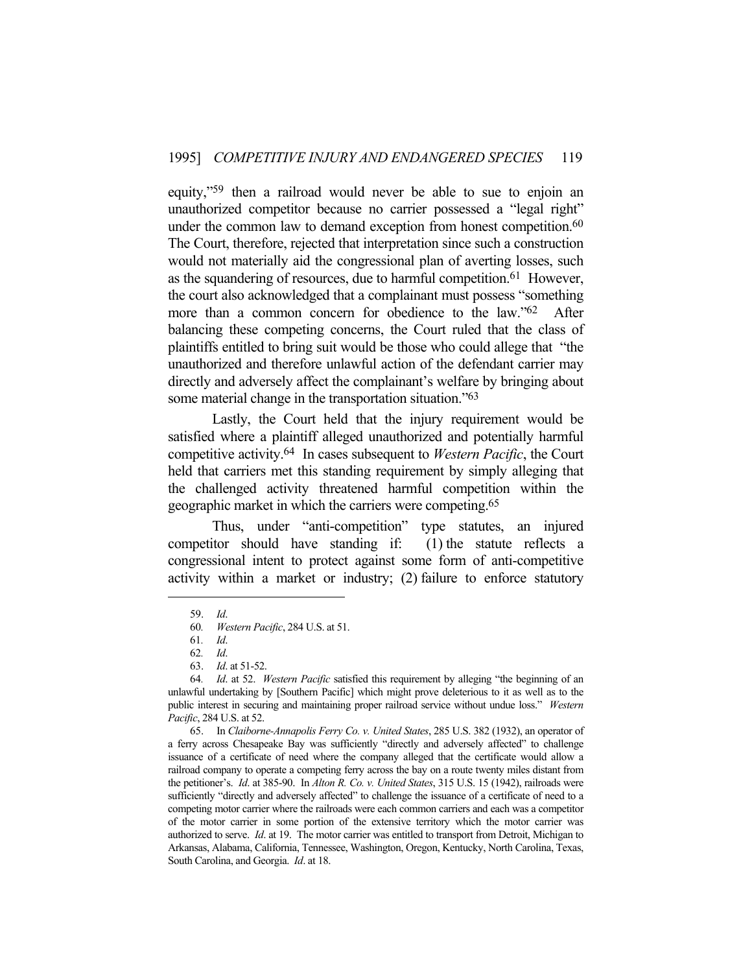equity,"59 then a railroad would never be able to sue to enjoin an unauthorized competitor because no carrier possessed a "legal right" under the common law to demand exception from honest competition.<sup>60</sup> The Court, therefore, rejected that interpretation since such a construction would not materially aid the congressional plan of averting losses, such as the squandering of resources, due to harmful competition.61 However, the court also acknowledged that a complainant must possess "something more than a common concern for obedience to the law."<sup>62</sup> After balancing these competing concerns, the Court ruled that the class of plaintiffs entitled to bring suit would be those who could allege that "the unauthorized and therefore unlawful action of the defendant carrier may directly and adversely affect the complainant's welfare by bringing about some material change in the transportation situation."63

 Lastly, the Court held that the injury requirement would be satisfied where a plaintiff alleged unauthorized and potentially harmful competitive activity.64 In cases subsequent to *Western Pacific*, the Court held that carriers met this standing requirement by simply alleging that the challenged activity threatened harmful competition within the geographic market in which the carriers were competing.65

 Thus, under "anti-competition" type statutes, an injured competitor should have standing if: (1) the statute reflects a congressional intent to protect against some form of anti-competitive activity within a market or industry; (2) failure to enforce statutory

 <sup>59.</sup> *Id*.

<sup>60</sup>*. Western Pacific*, 284 U.S. at 51.

<sup>61</sup>*. Id*.

<sup>62</sup>*. Id*.

 <sup>63.</sup> *Id*. at 51-52.

<sup>64</sup>*. Id*. at 52. *Western Pacific* satisfied this requirement by alleging "the beginning of an unlawful undertaking by [Southern Pacific] which might prove deleterious to it as well as to the public interest in securing and maintaining proper railroad service without undue loss." *Western Pacific*, 284 U.S. at 52.

 <sup>65.</sup> In *Claiborne-Annapolis Ferry Co. v. United States*, 285 U.S. 382 (1932), an operator of a ferry across Chesapeake Bay was sufficiently "directly and adversely affected" to challenge issuance of a certificate of need where the company alleged that the certificate would allow a railroad company to operate a competing ferry across the bay on a route twenty miles distant from the petitioner's. *Id*. at 385-90. In *Alton R. Co. v. United States*, 315 U.S. 15 (1942), railroads were sufficiently "directly and adversely affected" to challenge the issuance of a certificate of need to a competing motor carrier where the railroads were each common carriers and each was a competitor of the motor carrier in some portion of the extensive territory which the motor carrier was authorized to serve. *Id*. at 19. The motor carrier was entitled to transport from Detroit, Michigan to Arkansas, Alabama, California, Tennessee, Washington, Oregon, Kentucky, North Carolina, Texas, South Carolina, and Georgia. *Id*. at 18.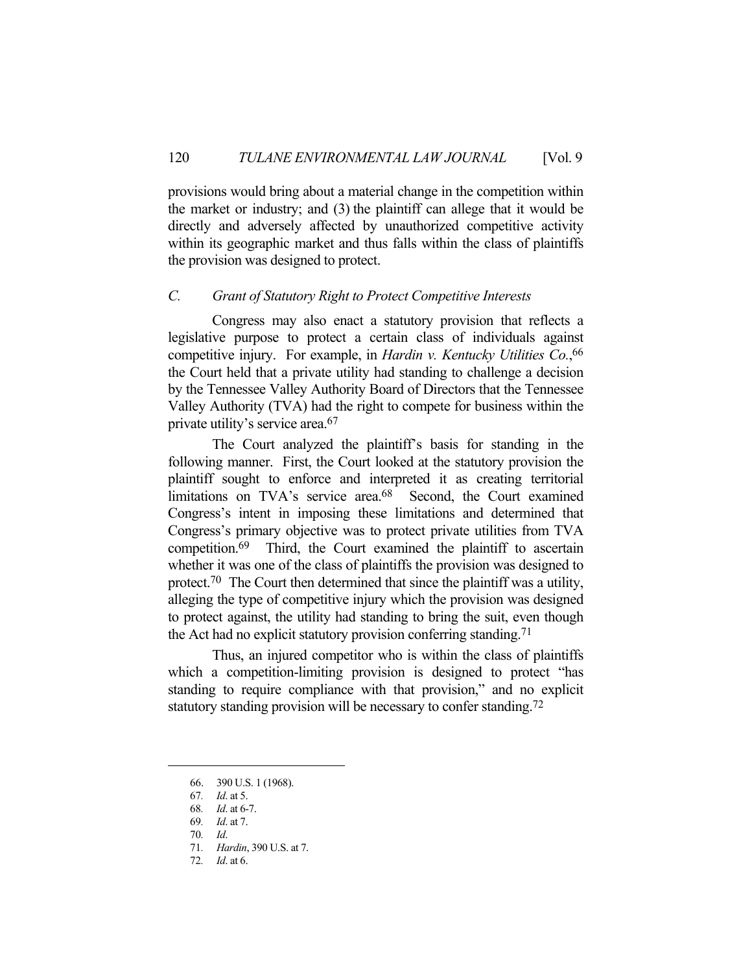provisions would bring about a material change in the competition within the market or industry; and (3) the plaintiff can allege that it would be directly and adversely affected by unauthorized competitive activity within its geographic market and thus falls within the class of plaintiffs the provision was designed to protect.

#### *C. Grant of Statutory Right to Protect Competitive Interests*

 Congress may also enact a statutory provision that reflects a legislative purpose to protect a certain class of individuals against competitive injury. For example, in *Hardin v. Kentucky Utilities Co.*, 66 the Court held that a private utility had standing to challenge a decision by the Tennessee Valley Authority Board of Directors that the Tennessee Valley Authority (TVA) had the right to compete for business within the private utility's service area.67

 The Court analyzed the plaintiff's basis for standing in the following manner. First, the Court looked at the statutory provision the plaintiff sought to enforce and interpreted it as creating territorial limitations on TVA's service area.<sup>68</sup> Second, the Court examined Congress's intent in imposing these limitations and determined that Congress's primary objective was to protect private utilities from TVA competition.69 Third, the Court examined the plaintiff to ascertain whether it was one of the class of plaintiffs the provision was designed to protect.<sup>70</sup> The Court then determined that since the plaintiff was a utility, alleging the type of competitive injury which the provision was designed to protect against, the utility had standing to bring the suit, even though the Act had no explicit statutory provision conferring standing. 71

 Thus, an injured competitor who is within the class of plaintiffs which a competition-limiting provision is designed to protect "has standing to require compliance with that provision," and no explicit statutory standing provision will be necessary to confer standing.<sup>72</sup>

 <sup>66. 390</sup> U.S. 1 (1968).

<sup>67</sup>*. Id*. at 5.

<sup>68</sup>*. Id*. at 6-7.

<sup>69</sup>*. Id*. at 7.

<sup>70</sup>*. Id*.

<sup>71</sup>*. Hardin*, 390 U.S. at 7.

<sup>72</sup>*. Id*. at 6.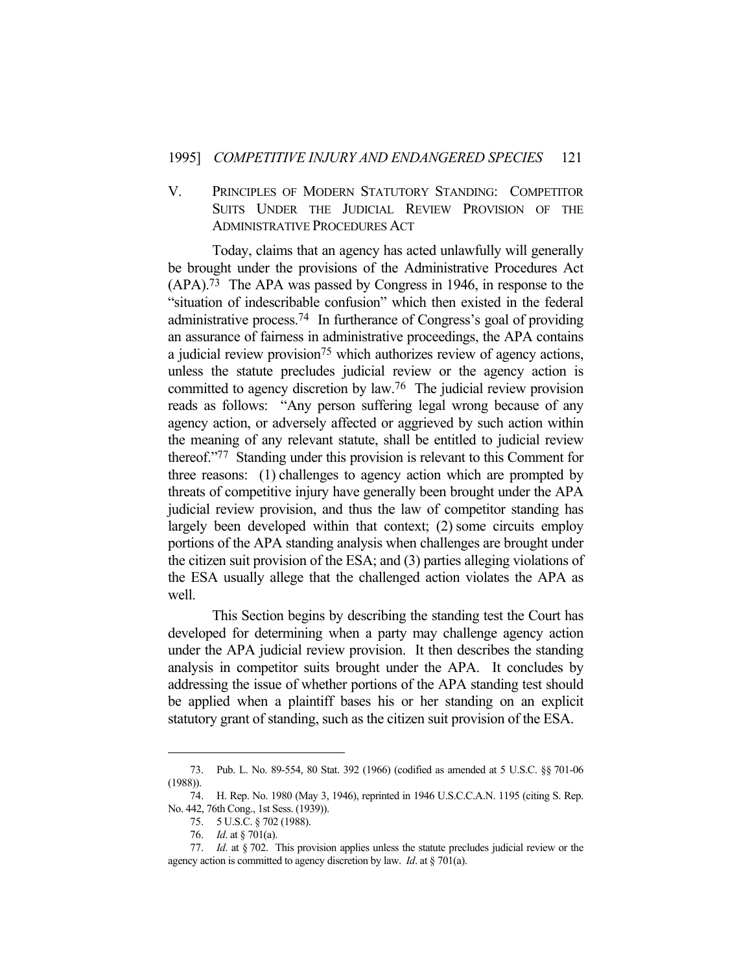# V. PRINCIPLES OF MODERN STATUTORY STANDING: COMPETITOR SUITS UNDER THE JUDICIAL REVIEW PROVISION OF THE ADMINISTRATIVE PROCEDURES ACT

 Today, claims that an agency has acted unlawfully will generally be brought under the provisions of the Administrative Procedures Act (APA).73 The APA was passed by Congress in 1946, in response to the "situation of indescribable confusion" which then existed in the federal administrative process.74 In furtherance of Congress's goal of providing an assurance of fairness in administrative proceedings, the APA contains a judicial review provision75 which authorizes review of agency actions, unless the statute precludes judicial review or the agency action is committed to agency discretion by law.76 The judicial review provision reads as follows: "Any person suffering legal wrong because of any agency action, or adversely affected or aggrieved by such action within the meaning of any relevant statute, shall be entitled to judicial review thereof."77 Standing under this provision is relevant to this Comment for three reasons: (1) challenges to agency action which are prompted by threats of competitive injury have generally been brought under the APA judicial review provision, and thus the law of competitor standing has largely been developed within that context; (2) some circuits employ portions of the APA standing analysis when challenges are brought under the citizen suit provision of the ESA; and (3) parties alleging violations of the ESA usually allege that the challenged action violates the APA as well.

 This Section begins by describing the standing test the Court has developed for determining when a party may challenge agency action under the APA judicial review provision. It then describes the standing analysis in competitor suits brought under the APA. It concludes by addressing the issue of whether portions of the APA standing test should be applied when a plaintiff bases his or her standing on an explicit statutory grant of standing, such as the citizen suit provision of the ESA.

 <sup>73.</sup> Pub. L. No. 89-554, 80 Stat. 392 (1966) (codified as amended at 5 U.S.C. §§ 701-06 (1988)).

 <sup>74.</sup> H. Rep. No. 1980 (May 3, 1946), reprinted in 1946 U.S.C.C.A.N. 1195 (citing S. Rep. No. 442, 76th Cong., 1st Sess. (1939)).

 <sup>75. 5</sup> U.S.C. § 702 (1988).

 <sup>76.</sup> *Id*. at § 701(a).

 <sup>77.</sup> *Id*. at § 702. This provision applies unless the statute precludes judicial review or the agency action is committed to agency discretion by law. *Id*. at § 701(a).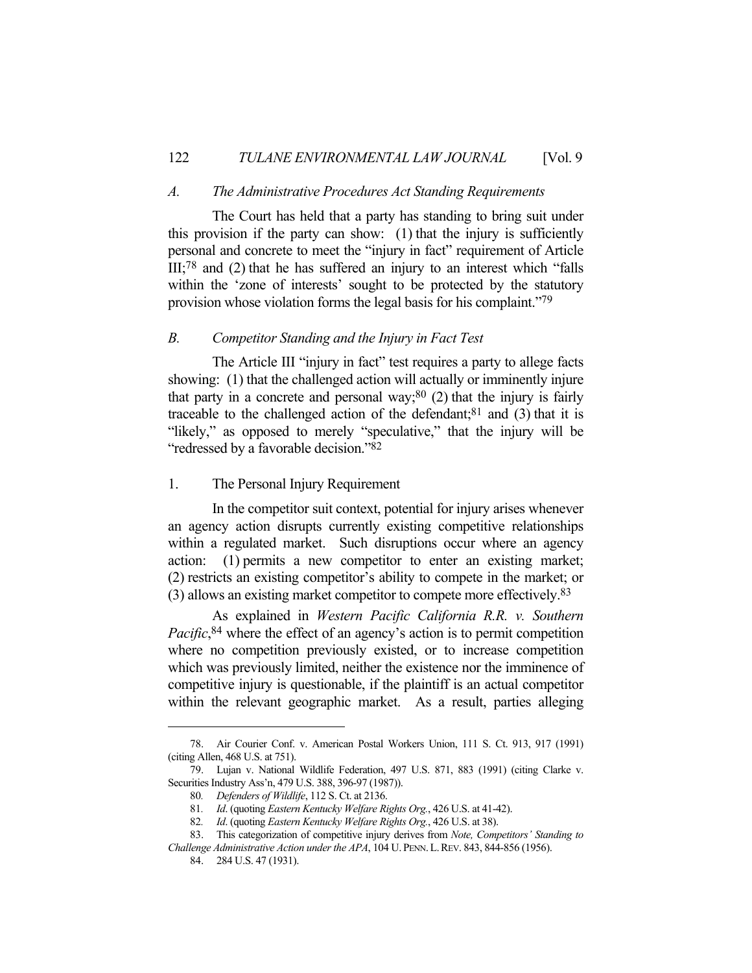#### *A. The Administrative Procedures Act Standing Requirements*

 The Court has held that a party has standing to bring suit under this provision if the party can show: (1) that the injury is sufficiently personal and concrete to meet the "injury in fact" requirement of Article III;78 and (2) that he has suffered an injury to an interest which "falls within the 'zone of interests' sought to be protected by the statutory provision whose violation forms the legal basis for his complaint."79

# *B. Competitor Standing and the Injury in Fact Test*

 The Article III "injury in fact" test requires a party to allege facts showing: (1) that the challenged action will actually or imminently injure that party in a concrete and personal way;<sup>80</sup> (2) that the injury is fairly traceable to the challenged action of the defendant; $81$  and (3) that it is "likely," as opposed to merely "speculative," that the injury will be "redressed by a favorable decision."82

#### 1. The Personal Injury Requirement

 In the competitor suit context, potential for injury arises whenever an agency action disrupts currently existing competitive relationships within a regulated market. Such disruptions occur where an agency action: (1) permits a new competitor to enter an existing market; (2) restricts an existing competitor's ability to compete in the market; or (3) allows an existing market competitor to compete more effectively.83

 As explained in *Western Pacific California R.R. v. Southern Pacific*, 84 where the effect of an agency's action is to permit competition where no competition previously existed, or to increase competition which was previously limited, neither the existence nor the imminence of competitive injury is questionable, if the plaintiff is an actual competitor within the relevant geographic market. As a result, parties alleging

 <sup>78.</sup> Air Courier Conf. v. American Postal Workers Union, 111 S. Ct. 913, 917 (1991) (citing Allen, 468 U.S. at 751).

 <sup>79.</sup> Lujan v. National Wildlife Federation, 497 U.S. 871, 883 (1991) (citing Clarke v. Securities Industry Ass'n, 479 U.S. 388, 396-97 (1987)).

<sup>80</sup>*. Defenders of Wildlife*, 112 S. Ct. at 2136.

<sup>81</sup>*. Id*. (quoting *Eastern Kentucky Welfare Rights Org.*, 426 U.S. at 41-42).

<sup>82</sup>*. Id*. (quoting *Eastern Kentucky Welfare Rights Org.*, 426 U.S. at 38).

 <sup>83.</sup> This categorization of competitive injury derives from *Note, Competitors' Standing to Challenge Administrative Action under the APA*, 104 U. PENN.L.REV. 843, 844-856 (1956).

 <sup>84. 284</sup> U.S. 47 (1931).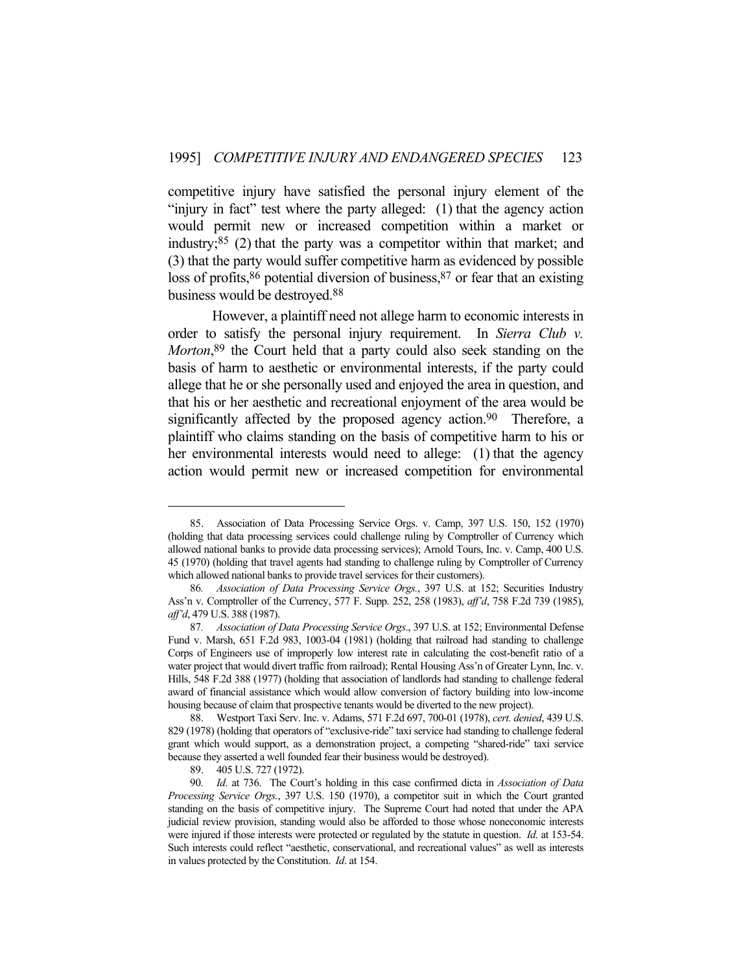competitive injury have satisfied the personal injury element of the "injury in fact" test where the party alleged: (1) that the agency action would permit new or increased competition within a market or industry; $85$  (2) that the party was a competitor within that market; and (3) that the party would suffer competitive harm as evidenced by possible loss of profits,  $86$  potential diversion of business,  $87$  or fear that an existing business would be destroyed.88

 However, a plaintiff need not allege harm to economic interests in order to satisfy the personal injury requirement. In *Sierra Club v. Morton*, 89 the Court held that a party could also seek standing on the basis of harm to aesthetic or environmental interests, if the party could allege that he or she personally used and enjoyed the area in question, and that his or her aesthetic and recreational enjoyment of the area would be significantly affected by the proposed agency action.<sup>90</sup> Therefore, a plaintiff who claims standing on the basis of competitive harm to his or her environmental interests would need to allege: (1) that the agency action would permit new or increased competition for environmental

 <sup>85.</sup> Association of Data Processing Service Orgs. v. Camp, 397 U.S. 150, 152 (1970) (holding that data processing services could challenge ruling by Comptroller of Currency which allowed national banks to provide data processing services); Arnold Tours, Inc. v. Camp, 400 U.S. 45 (1970) (holding that travel agents had standing to challenge ruling by Comptroller of Currency which allowed national banks to provide travel services for their customers).

<sup>86</sup>*. Association of Data Processing Service Orgs.*, 397 U.S. at 152; Securities Industry Ass'n v. Comptroller of the Currency, 577 F. Supp. 252, 258 (1983), *aff'd*, 758 F.2d 739 (1985), *aff'd*, 479 U.S. 388 (1987).

<sup>87</sup>*. Association of Data Processing Service Orgs*., 397 U.S. at 152; Environmental Defense Fund v. Marsh, 651 F.2d 983, 1003-04 (1981) (holding that railroad had standing to challenge Corps of Engineers use of improperly low interest rate in calculating the cost-benefit ratio of a water project that would divert traffic from railroad); Rental Housing Ass'n of Greater Lynn, Inc. v. Hills, 548 F.2d 388 (1977) (holding that association of landlords had standing to challenge federal award of financial assistance which would allow conversion of factory building into low-income housing because of claim that prospective tenants would be diverted to the new project).

 <sup>88.</sup> Westport Taxi Serv. Inc. v. Adams, 571 F.2d 697, 700-01 (1978), *cert. denied*, 439 U.S. 829 (1978) (holding that operators of "exclusive-ride" taxi service had standing to challenge federal grant which would support, as a demonstration project, a competing "shared-ride" taxi service because they asserted a well founded fear their business would be destroyed).

 <sup>89. 405</sup> U.S. 727 (1972).

<sup>90</sup>*. Id*. at 736. The Court's holding in this case confirmed dicta in *Association of Data Processing Service Orgs.*, 397 U.S. 150 (1970), a competitor suit in which the Court granted standing on the basis of competitive injury. The Supreme Court had noted that under the APA judicial review provision, standing would also be afforded to those whose noneconomic interests were injured if those interests were protected or regulated by the statute in question. *Id*. at 153-54. Such interests could reflect "aesthetic, conservational, and recreational values" as well as interests in values protected by the Constitution. *Id*. at 154.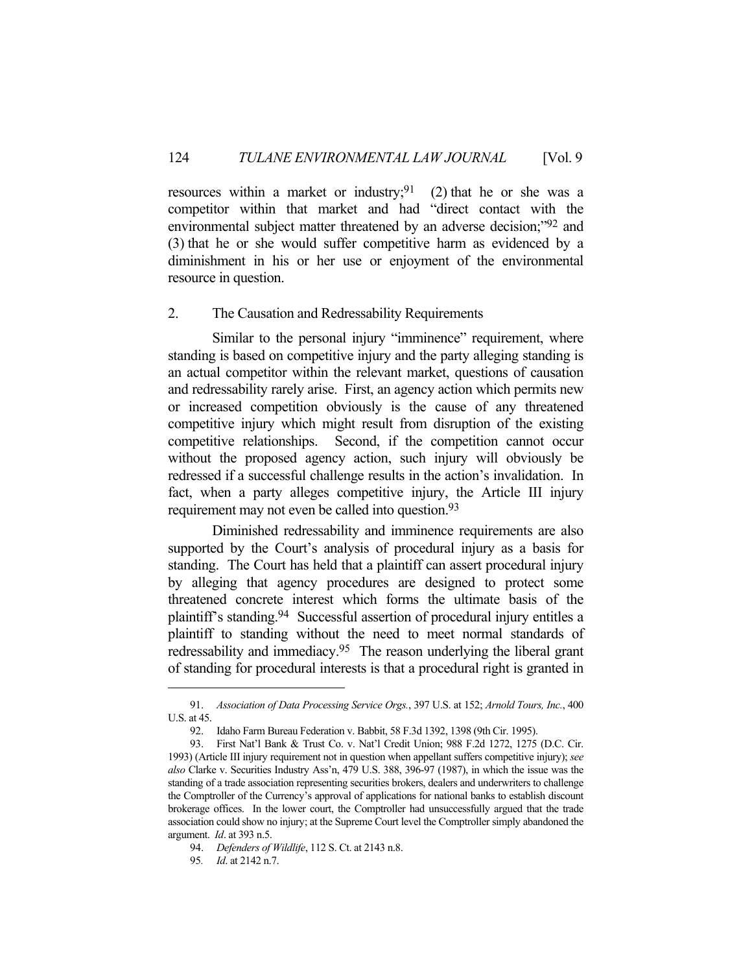resources within a market or industry;<sup>91</sup> (2) that he or she was a competitor within that market and had "direct contact with the environmental subject matter threatened by an adverse decision;"92 and (3) that he or she would suffer competitive harm as evidenced by a diminishment in his or her use or enjoyment of the environmental resource in question.

# 2. The Causation and Redressability Requirements

Similar to the personal injury "imminence" requirement, where standing is based on competitive injury and the party alleging standing is an actual competitor within the relevant market, questions of causation and redressability rarely arise. First, an agency action which permits new or increased competition obviously is the cause of any threatened competitive injury which might result from disruption of the existing competitive relationships. Second, if the competition cannot occur without the proposed agency action, such injury will obviously be redressed if a successful challenge results in the action's invalidation. In fact, when a party alleges competitive injury, the Article III injury requirement may not even be called into question.<sup>93</sup>

 Diminished redressability and imminence requirements are also supported by the Court's analysis of procedural injury as a basis for standing. The Court has held that a plaintiff can assert procedural injury by alleging that agency procedures are designed to protect some threatened concrete interest which forms the ultimate basis of the plaintiff's standing.94 Successful assertion of procedural injury entitles a plaintiff to standing without the need to meet normal standards of redressability and immediacy.95 The reason underlying the liberal grant of standing for procedural interests is that a procedural right is granted in

 <sup>91.</sup> *Association of Data Processing Service Orgs.*, 397 U.S. at 152; *Arnold Tours, Inc.*, 400 U.S. at 45.

 <sup>92.</sup> Idaho Farm Bureau Federation v. Babbit, 58 F.3d 1392, 1398 (9th Cir. 1995).

 <sup>93.</sup> First Nat'l Bank & Trust Co. v. Nat'l Credit Union; 988 F.2d 1272, 1275 (D.C. Cir. 1993) (Article III injury requirement not in question when appellant suffers competitive injury); *see also* Clarke v. Securities Industry Ass'n, 479 U.S. 388, 396-97 (1987), in which the issue was the standing of a trade association representing securities brokers, dealers and underwriters to challenge the Comptroller of the Currency's approval of applications for national banks to establish discount brokerage offices. In the lower court, the Comptroller had unsuccessfully argued that the trade association could show no injury; at the Supreme Court level the Comptroller simply abandoned the argument. *Id*. at 393 n.5.

 <sup>94.</sup> *Defenders of Wildlife*, 112 S. Ct. at 2143 n.8.

<sup>95</sup>*. Id*. at 2142 n.7.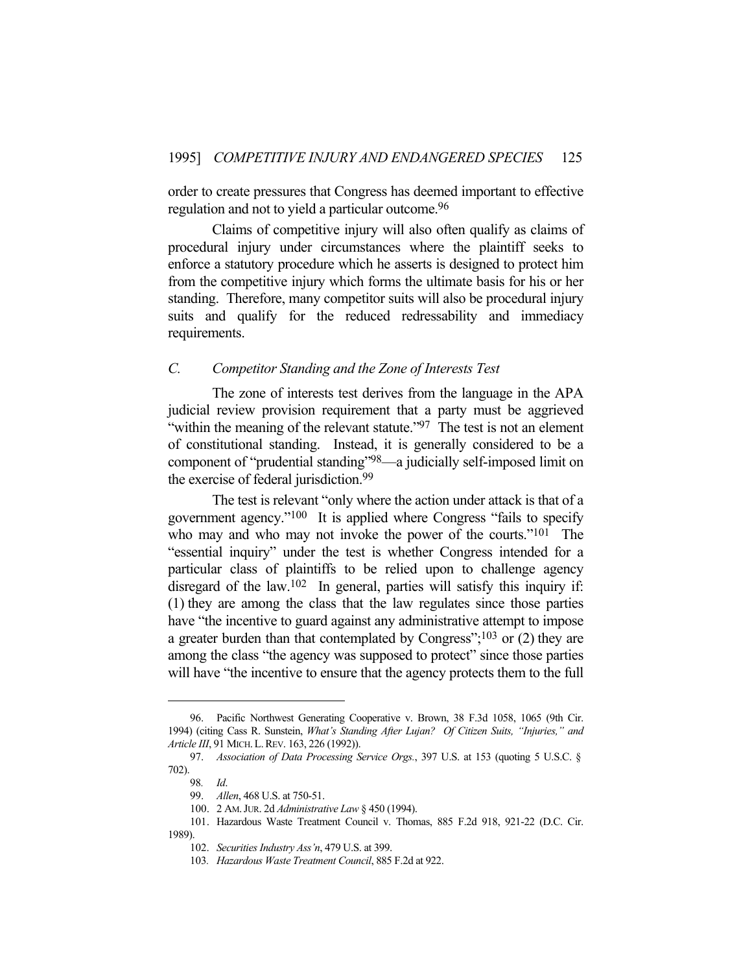order to create pressures that Congress has deemed important to effective regulation and not to yield a particular outcome.96

 Claims of competitive injury will also often qualify as claims of procedural injury under circumstances where the plaintiff seeks to enforce a statutory procedure which he asserts is designed to protect him from the competitive injury which forms the ultimate basis for his or her standing. Therefore, many competitor suits will also be procedural injury suits and qualify for the reduced redressability and immediacy requirements.

### *C. Competitor Standing and the Zone of Interests Test*

 The zone of interests test derives from the language in the APA judicial review provision requirement that a party must be aggrieved "within the meaning of the relevant statute."<sup>97</sup> The test is not an element of constitutional standing. Instead, it is generally considered to be a component of "prudential standing"98—a judicially self-imposed limit on the exercise of federal jurisdiction.99

 The test is relevant "only where the action under attack is that of a government agency."100 It is applied where Congress "fails to specify who may and who may not invoke the power of the courts."<sup>101</sup> The "essential inquiry" under the test is whether Congress intended for a particular class of plaintiffs to be relied upon to challenge agency disregard of the law.<sup>102</sup> In general, parties will satisfy this inquiry if: (1) they are among the class that the law regulates since those parties have "the incentive to guard against any administrative attempt to impose a greater burden than that contemplated by Congress";103 or (2) they are among the class "the agency was supposed to protect" since those parties will have "the incentive to ensure that the agency protects them to the full

 <sup>96.</sup> Pacific Northwest Generating Cooperative v. Brown, 38 F.3d 1058, 1065 (9th Cir. 1994) (citing Cass R. Sunstein, *What's Standing After Lujan? Of Citizen Suits, "Injuries," and Article III*, 91 MICH.L.REV. 163, 226 (1992)).

 <sup>97.</sup> *Association of Data Processing Service Orgs.*, 397 U.S. at 153 (quoting 5 U.S.C. § 702).

<sup>98</sup>*. Id*.

 <sup>99.</sup> *Allen*, 468 U.S. at 750-51.

 <sup>100. 2</sup> AM.JUR. 2d *Administrative Law* § 450 (1994).

 <sup>101.</sup> Hazardous Waste Treatment Council v. Thomas, 885 F.2d 918, 921-22 (D.C. Cir. 1989).

 <sup>102.</sup> *Securities Industry Ass'n*, 479 U.S. at 399.

<sup>103</sup>*. Hazardous Waste Treatment Council*, 885 F.2d at 922.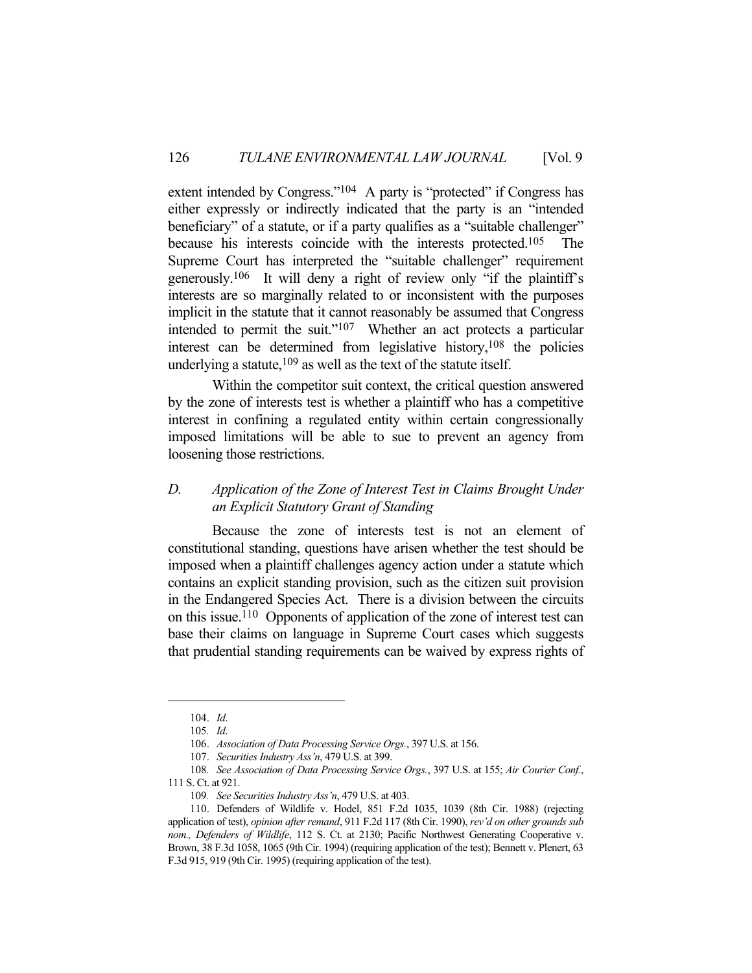extent intended by Congress."<sup>104</sup> A party is "protected" if Congress has either expressly or indirectly indicated that the party is an "intended beneficiary" of a statute, or if a party qualifies as a "suitable challenger" because his interests coincide with the interests protected.105 The Supreme Court has interpreted the "suitable challenger" requirement generously.106 It will deny a right of review only "if the plaintiff's interests are so marginally related to or inconsistent with the purposes implicit in the statute that it cannot reasonably be assumed that Congress intended to permit the suit."<sup>107</sup> Whether an act protects a particular interest can be determined from legislative history,  $108$  the policies underlying a statute,  $109$  as well as the text of the statute itself.

 Within the competitor suit context, the critical question answered by the zone of interests test is whether a plaintiff who has a competitive interest in confining a regulated entity within certain congressionally imposed limitations will be able to sue to prevent an agency from loosening those restrictions.

# *D. Application of the Zone of Interest Test in Claims Brought Under an Explicit Statutory Grant of Standing*

 Because the zone of interests test is not an element of constitutional standing, questions have arisen whether the test should be imposed when a plaintiff challenges agency action under a statute which contains an explicit standing provision, such as the citizen suit provision in the Endangered Species Act. There is a division between the circuits on this issue.110 Opponents of application of the zone of interest test can base their claims on language in Supreme Court cases which suggests that prudential standing requirements can be waived by express rights of

 <sup>104.</sup> *Id*.

<sup>105</sup>*. Id*.

 <sup>106.</sup> *Association of Data Processing Service Orgs.*, 397 U.S. at 156.

 <sup>107.</sup> *Securities Industry Ass'n*, 479 U.S. at 399.

<sup>108</sup>*. See Association of Data Processing Service Orgs.*, 397 U.S. at 155; *Air Courier Conf.*, 111 S. Ct. at 921.

<sup>109</sup>*. See Securities Industry Ass'n*, 479 U.S. at 403.

 <sup>110.</sup> Defenders of Wildlife v. Hodel, 851 F.2d 1035, 1039 (8th Cir. 1988) (rejecting application of test), *opinion after remand*, 911 F.2d 117 (8th Cir. 1990), *rev'd on other grounds sub nom., Defenders of Wildlife*, 112 S. Ct. at 2130; Pacific Northwest Generating Cooperative v. Brown, 38 F.3d 1058, 1065 (9th Cir. 1994) (requiring application of the test); Bennett v. Plenert, 63 F.3d 915, 919 (9th Cir. 1995) (requiring application of the test).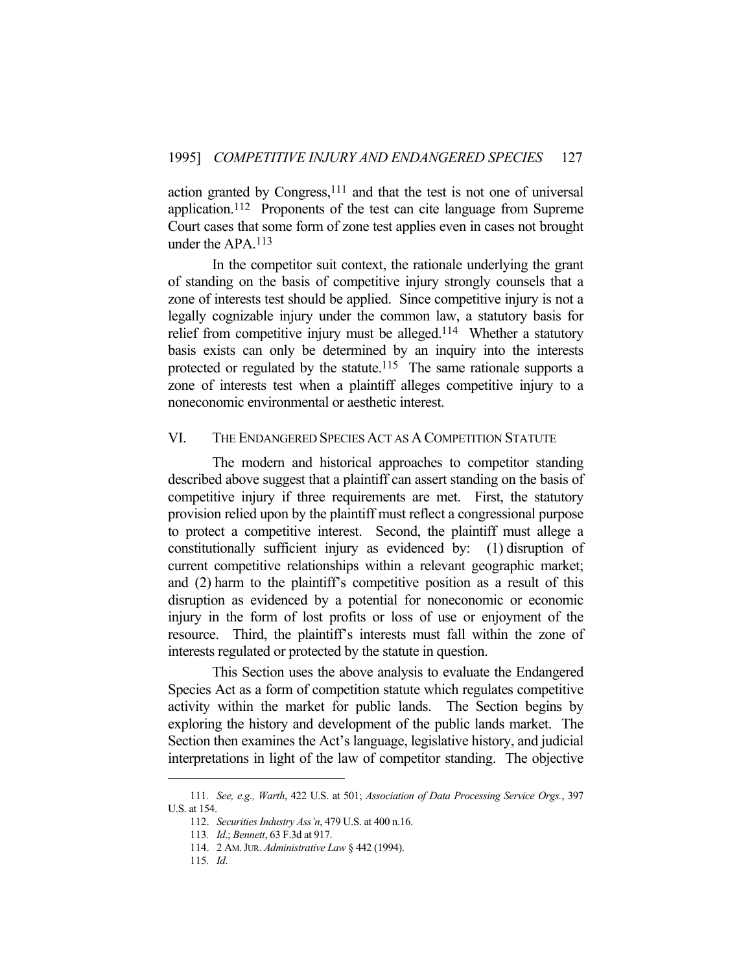action granted by Congress, $111$  and that the test is not one of universal application.112 Proponents of the test can cite language from Supreme Court cases that some form of zone test applies even in cases not brought under the APA.113

 In the competitor suit context, the rationale underlying the grant of standing on the basis of competitive injury strongly counsels that a zone of interests test should be applied. Since competitive injury is not a legally cognizable injury under the common law, a statutory basis for relief from competitive injury must be alleged.<sup>114</sup> Whether a statutory basis exists can only be determined by an inquiry into the interests protected or regulated by the statute.<sup>115</sup> The same rationale supports a zone of interests test when a plaintiff alleges competitive injury to a noneconomic environmental or aesthetic interest.

## VI. THE ENDANGERED SPECIES ACT AS A COMPETITION STATUTE

 The modern and historical approaches to competitor standing described above suggest that a plaintiff can assert standing on the basis of competitive injury if three requirements are met. First, the statutory provision relied upon by the plaintiff must reflect a congressional purpose to protect a competitive interest. Second, the plaintiff must allege a constitutionally sufficient injury as evidenced by: (1) disruption of current competitive relationships within a relevant geographic market; and (2) harm to the plaintiff's competitive position as a result of this disruption as evidenced by a potential for noneconomic or economic injury in the form of lost profits or loss of use or enjoyment of the resource. Third, the plaintiff's interests must fall within the zone of interests regulated or protected by the statute in question.

 This Section uses the above analysis to evaluate the Endangered Species Act as a form of competition statute which regulates competitive activity within the market for public lands. The Section begins by exploring the history and development of the public lands market. The Section then examines the Act's language, legislative history, and judicial interpretations in light of the law of competitor standing. The objective

<sup>111</sup>*. See, e.g., Warth*, 422 U.S. at 501; *Association of Data Processing Service Orgs.*, 397 U.S. at 154.

 <sup>112.</sup> *Securities Industry Ass'n*, 479 U.S. at 400 n.16.

<sup>113</sup>*. Id*.; *Bennett*, 63 F.3d at 917.

 <sup>114. 2</sup> AM.JUR. *Administrative Law* § 442 (1994).

<sup>115</sup>*. Id*.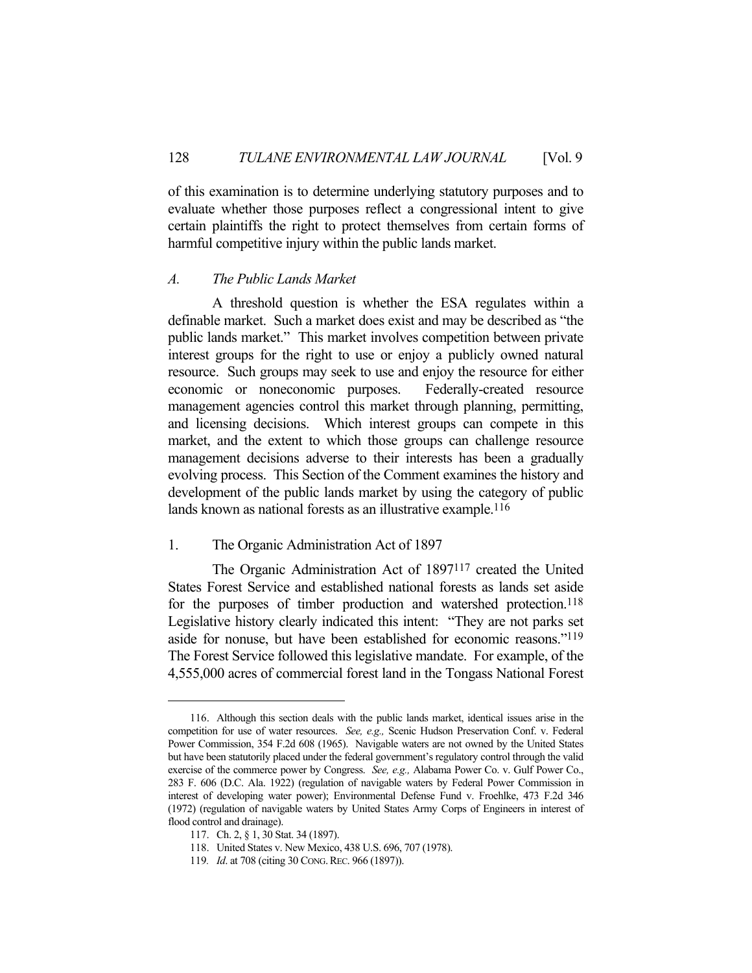of this examination is to determine underlying statutory purposes and to evaluate whether those purposes reflect a congressional intent to give certain plaintiffs the right to protect themselves from certain forms of harmful competitive injury within the public lands market.

#### *A. The Public Lands Market*

 A threshold question is whether the ESA regulates within a definable market. Such a market does exist and may be described as "the public lands market." This market involves competition between private interest groups for the right to use or enjoy a publicly owned natural resource. Such groups may seek to use and enjoy the resource for either economic or noneconomic purposes. Federally-created resource management agencies control this market through planning, permitting, and licensing decisions. Which interest groups can compete in this market, and the extent to which those groups can challenge resource management decisions adverse to their interests has been a gradually evolving process. This Section of the Comment examines the history and development of the public lands market by using the category of public lands known as national forests as an illustrative example.<sup>116</sup>

#### 1. The Organic Administration Act of 1897

 The Organic Administration Act of 1897117 created the United States Forest Service and established national forests as lands set aside for the purposes of timber production and watershed protection.<sup>118</sup> Legislative history clearly indicated this intent: "They are not parks set aside for nonuse, but have been established for economic reasons."119 The Forest Service followed this legislative mandate. For example, of the 4,555,000 acres of commercial forest land in the Tongass National Forest

 <sup>116.</sup> Although this section deals with the public lands market, identical issues arise in the competition for use of water resources. *See, e.g.,* Scenic Hudson Preservation Conf. v. Federal Power Commission, 354 F.2d 608 (1965). Navigable waters are not owned by the United States but have been statutorily placed under the federal government's regulatory control through the valid exercise of the commerce power by Congress. *See, e.g.,* Alabama Power Co. v. Gulf Power Co., 283 F. 606 (D.C. Ala. 1922) (regulation of navigable waters by Federal Power Commission in interest of developing water power); Environmental Defense Fund v. Froehlke, 473 F.2d 346 (1972) (regulation of navigable waters by United States Army Corps of Engineers in interest of flood control and drainage).

 <sup>117.</sup> Ch. 2, § 1, 30 Stat. 34 (1897).

 <sup>118.</sup> United States v. New Mexico, 438 U.S. 696, 707 (1978).

<sup>119</sup>*. Id*. at 708 (citing 30 CONG.REC. 966 (1897)).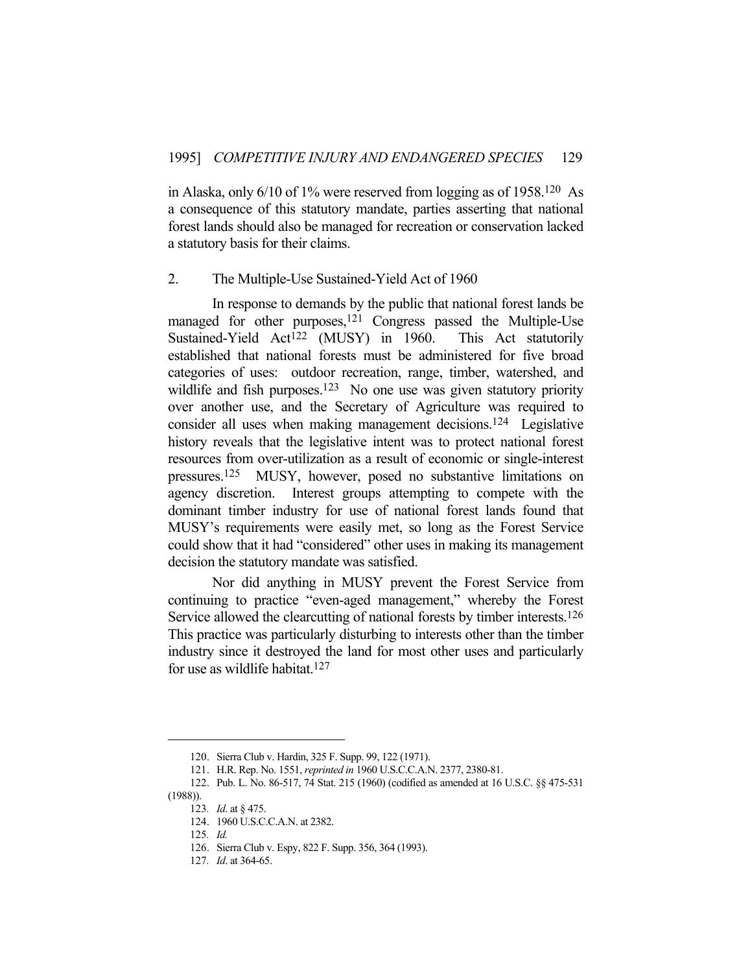in Alaska, only 6/10 of 1% were reserved from logging as of 1958.120 As a consequence of this statutory mandate, parties asserting that national forest lands should also be managed for recreation or conservation lacked a statutory basis for their claims.

#### 2. The Multiple-Use Sustained-Yield Act of 1960

 In response to demands by the public that national forest lands be managed for other purposes,<sup>121</sup> Congress passed the Multiple-Use Sustained-Yield Act<sup>122</sup> (MUSY) in 1960. This Act statutorily established that national forests must be administered for five broad categories of uses: outdoor recreation, range, timber, watershed, and wildlife and fish purposes.<sup>123</sup> No one use was given statutory priority over another use, and the Secretary of Agriculture was required to consider all uses when making management decisions.124 Legislative history reveals that the legislative intent was to protect national forest resources from over-utilization as a result of economic or single-interest pressures.125 MUSY, however, posed no substantive limitations on agency discretion. Interest groups attempting to compete with the dominant timber industry for use of national forest lands found that MUSY's requirements were easily met, so long as the Forest Service could show that it had "considered" other uses in making its management decision the statutory mandate was satisfied.

 Nor did anything in MUSY prevent the Forest Service from continuing to practice "even-aged management," whereby the Forest Service allowed the clearcutting of national forests by timber interests.126 This practice was particularly disturbing to interests other than the timber industry since it destroyed the land for most other uses and particularly for use as wildlife habitat.127

 <sup>120.</sup> Sierra Club v. Hardin, 325 F. Supp. 99, 122 (1971).

 <sup>121.</sup> H.R. Rep. No. 1551, *reprinted in* 1960 U.S.C.C.A.N. 2377, 2380-81.

 <sup>122.</sup> Pub. L. No. 86-517, 74 Stat. 215 (1960) (codified as amended at 16 U.S.C. §§ 475-531

<sup>(1988)).</sup> 

<sup>123</sup>*. Id*. at § 475.

 <sup>124. 1960</sup> U.S.C.C.A.N. at 2382.

<sup>125</sup>*. Id.*

 <sup>126.</sup> Sierra Club v. Espy, 822 F. Supp. 356, 364 (1993).

<sup>127</sup>*. Id*. at 364-65.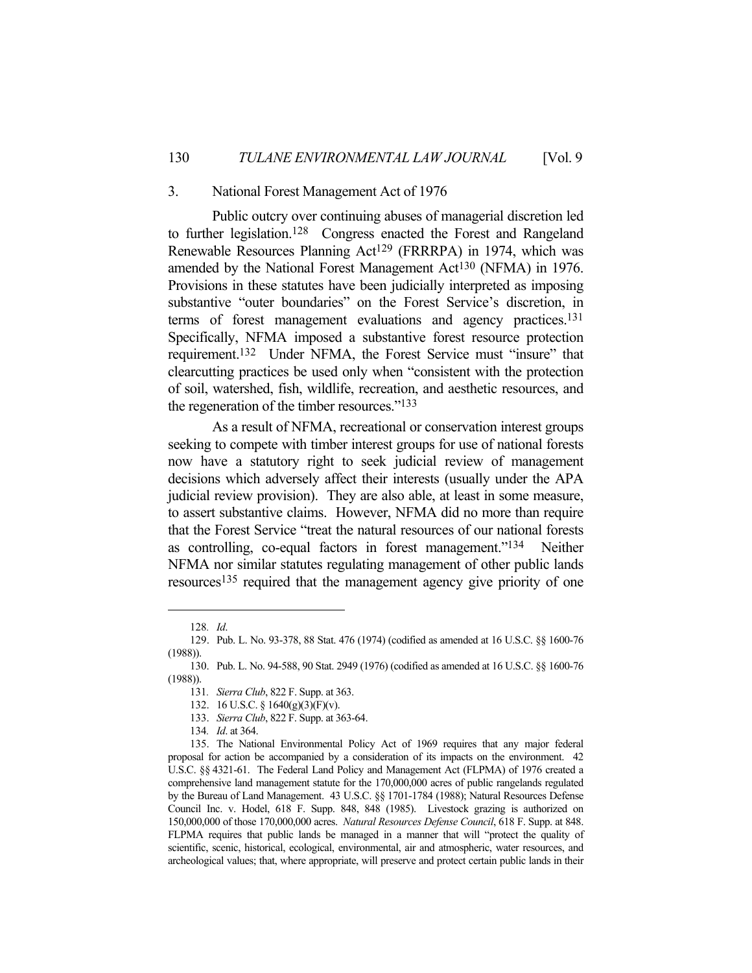#### 3. National Forest Management Act of 1976

 Public outcry over continuing abuses of managerial discretion led to further legislation.<sup>128</sup> Congress enacted the Forest and Rangeland Renewable Resources Planning Act<sup>129</sup> (FRRRPA) in 1974, which was amended by the National Forest Management Act130 (NFMA) in 1976. Provisions in these statutes have been judicially interpreted as imposing substantive "outer boundaries" on the Forest Service's discretion, in terms of forest management evaluations and agency practices.131 Specifically, NFMA imposed a substantive forest resource protection requirement.132 Under NFMA, the Forest Service must "insure" that clearcutting practices be used only when "consistent with the protection of soil, watershed, fish, wildlife, recreation, and aesthetic resources, and the regeneration of the timber resources."133

 As a result of NFMA, recreational or conservation interest groups seeking to compete with timber interest groups for use of national forests now have a statutory right to seek judicial review of management decisions which adversely affect their interests (usually under the APA judicial review provision). They are also able, at least in some measure, to assert substantive claims. However, NFMA did no more than require that the Forest Service "treat the natural resources of our national forests as controlling, co-equal factors in forest management."134 Neither NFMA nor similar statutes regulating management of other public lands resources135 required that the management agency give priority of one

<sup>128</sup>*. Id*.

 <sup>129.</sup> Pub. L. No. 93-378, 88 Stat. 476 (1974) (codified as amended at 16 U.S.C. §§ 1600-76 (1988)).

 <sup>130.</sup> Pub. L. No. 94-588, 90 Stat. 2949 (1976) (codified as amended at 16 U.S.C. §§ 1600-76 (1988)).

<sup>131</sup>*. Sierra Club*, 822 F. Supp. at 363.

 <sup>132. 16</sup> U.S.C. § 1640(g)(3)(F)(v).

 <sup>133.</sup> *Sierra Club*, 822 F. Supp. at 363-64.

<sup>134</sup>*. Id*. at 364.

 <sup>135.</sup> The National Environmental Policy Act of 1969 requires that any major federal proposal for action be accompanied by a consideration of its impacts on the environment. 42 U.S.C. §§ 4321-61. The Federal Land Policy and Management Act (FLPMA) of 1976 created a comprehensive land management statute for the 170,000,000 acres of public rangelands regulated by the Bureau of Land Management. 43 U.S.C. §§ 1701-1784 (1988); Natural Resources Defense Council Inc. v. Hodel, 618 F. Supp. 848, 848 (1985). Livestock grazing is authorized on 150,000,000 of those 170,000,000 acres. *Natural Resources Defense Council*, 618 F. Supp. at 848. FLPMA requires that public lands be managed in a manner that will "protect the quality of scientific, scenic, historical, ecological, environmental, air and atmospheric, water resources, and archeological values; that, where appropriate, will preserve and protect certain public lands in their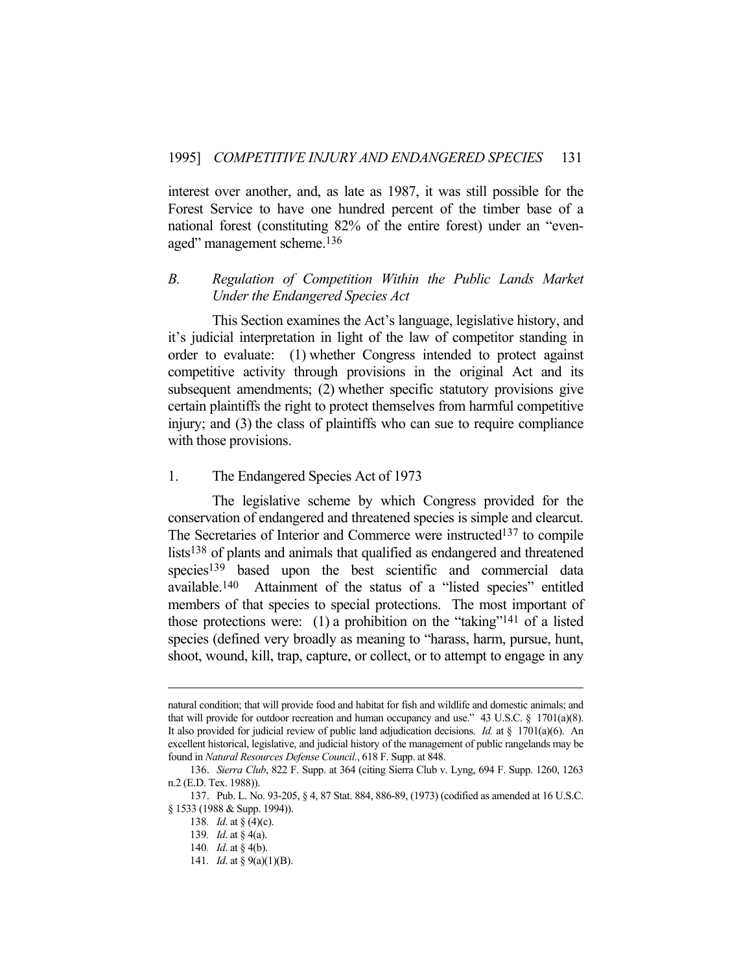interest over another, and, as late as 1987, it was still possible for the Forest Service to have one hundred percent of the timber base of a national forest (constituting 82% of the entire forest) under an "evenaged" management scheme.136

# *B. Regulation of Competition Within the Public Lands Market Under the Endangered Species Act*

 This Section examines the Act's language, legislative history, and it's judicial interpretation in light of the law of competitor standing in order to evaluate: (1) whether Congress intended to protect against competitive activity through provisions in the original Act and its subsequent amendments; (2) whether specific statutory provisions give certain plaintiffs the right to protect themselves from harmful competitive injury; and (3) the class of plaintiffs who can sue to require compliance with those provisions.

# 1. The Endangered Species Act of 1973

 The legislative scheme by which Congress provided for the conservation of endangered and threatened species is simple and clearcut. The Secretaries of Interior and Commerce were instructed<sup>137</sup> to compile lists<sup>138</sup> of plants and animals that qualified as endangered and threatened species<sup>139</sup> based upon the best scientific and commercial data available.140 Attainment of the status of a "listed species" entitled members of that species to special protections. The most important of those protections were: (1) a prohibition on the "taking"<sup>141</sup> of a listed species (defined very broadly as meaning to "harass, harm, pursue, hunt, shoot, wound, kill, trap, capture, or collect, or to attempt to engage in any

natural condition; that will provide food and habitat for fish and wildlife and domestic animals; and that will provide for outdoor recreation and human occupancy and use." 43 U.S.C.  $\S$  1701(a)(8). It also provided for judicial review of public land adjudication decisions. *Id.* at § 1701(a)(6). An excellent historical, legislative, and judicial history of the management of public rangelands may be found in *Natural Resources Defense Council.*, 618 F. Supp. at 848.

 <sup>136.</sup> *Sierra Club*, 822 F. Supp. at 364 (citing Sierra Club v. Lyng, 694 F. Supp. 1260, 1263 n.2 (E.D. Tex. 1988)).

 <sup>137.</sup> Pub. L. No. 93-205, § 4, 87 Stat. 884, 886-89, (1973) (codified as amended at 16 U.S.C. § 1533 (1988 & Supp. 1994)).

<sup>138</sup>*. Id*. at § (4)(c).

<sup>139</sup>*. Id*. at § 4(a).

<sup>140</sup>*. Id*. at § 4(b).

<sup>141</sup>*. Id*. at § 9(a)(1)(B).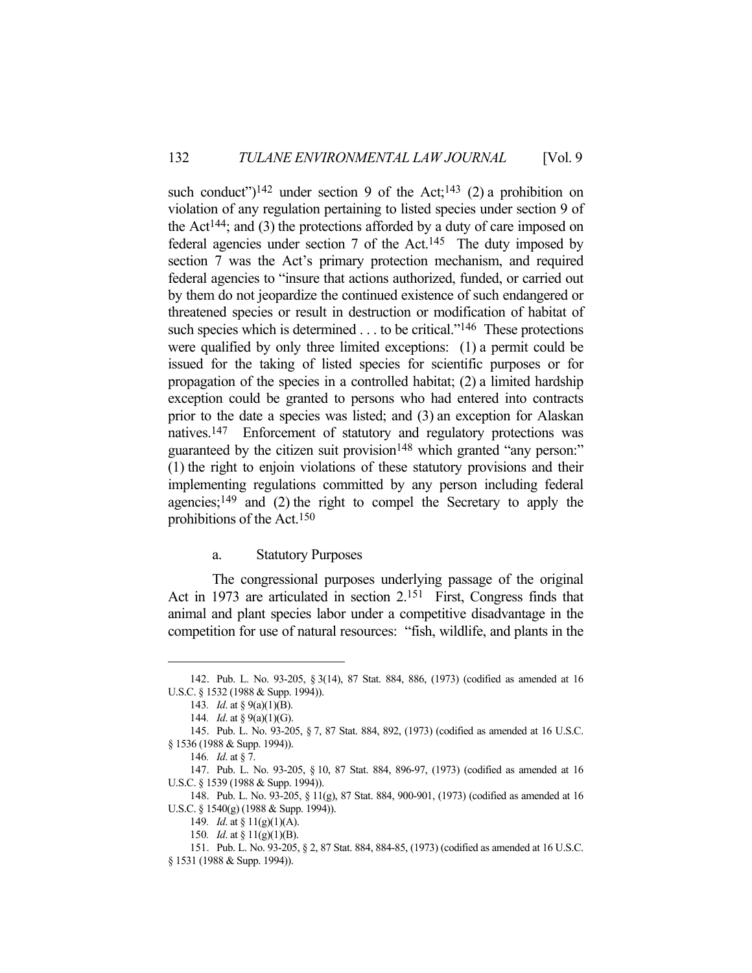such conduct")<sup>142</sup> under section 9 of the Act;<sup>143</sup> (2) a prohibition on violation of any regulation pertaining to listed species under section 9 of the Act<sup>144</sup>; and (3) the protections afforded by a duty of care imposed on federal agencies under section 7 of the Act.145 The duty imposed by section 7 was the Act's primary protection mechanism, and required federal agencies to "insure that actions authorized, funded, or carried out by them do not jeopardize the continued existence of such endangered or threatened species or result in destruction or modification of habitat of such species which is determined . . . to be critical."<sup>146</sup> These protections were qualified by only three limited exceptions: (1) a permit could be issued for the taking of listed species for scientific purposes or for propagation of the species in a controlled habitat; (2) a limited hardship exception could be granted to persons who had entered into contracts prior to the date a species was listed; and (3) an exception for Alaskan natives.147 Enforcement of statutory and regulatory protections was guaranteed by the citizen suit provision<sup>148</sup> which granted "any person:" (1) the right to enjoin violations of these statutory provisions and their implementing regulations committed by any person including federal agencies;<sup>149</sup> and  $(2)$  the right to compel the Secretary to apply the prohibitions of the Act.150

#### a. Statutory Purposes

 The congressional purposes underlying passage of the original Act in 1973 are articulated in section 2.151 First, Congress finds that animal and plant species labor under a competitive disadvantage in the competition for use of natural resources: "fish, wildlife, and plants in the

 <sup>142.</sup> Pub. L. No. 93-205, § 3(14), 87 Stat. 884, 886, (1973) (codified as amended at 16 U.S.C. § 1532 (1988 & Supp. 1994)).

<sup>143</sup>*. Id*. at § 9(a)(1)(B).

<sup>144</sup>*. Id*. at § 9(a)(1)(G).

 <sup>145.</sup> Pub. L. No. 93-205, § 7, 87 Stat. 884, 892, (1973) (codified as amended at 16 U.S.C. § 1536 (1988 & Supp. 1994)).

<sup>146</sup>*. Id*. at § 7.

 <sup>147.</sup> Pub. L. No. 93-205, § 10, 87 Stat. 884, 896-97, (1973) (codified as amended at 16 U.S.C. § 1539 (1988 & Supp. 1994)).

 <sup>148.</sup> Pub. L. No. 93-205, § 11(g), 87 Stat. 884, 900-901, (1973) (codified as amended at 16 U.S.C. § 1540(g) (1988 & Supp. 1994)).

<sup>149</sup>*. Id*. at § 11(g)(1)(A).

<sup>150</sup>*. Id*. at § 11(g)(1)(B).

 <sup>151.</sup> Pub. L. No. 93-205, § 2, 87 Stat. 884, 884-85, (1973) (codified as amended at 16 U.S.C. § 1531 (1988 & Supp. 1994)).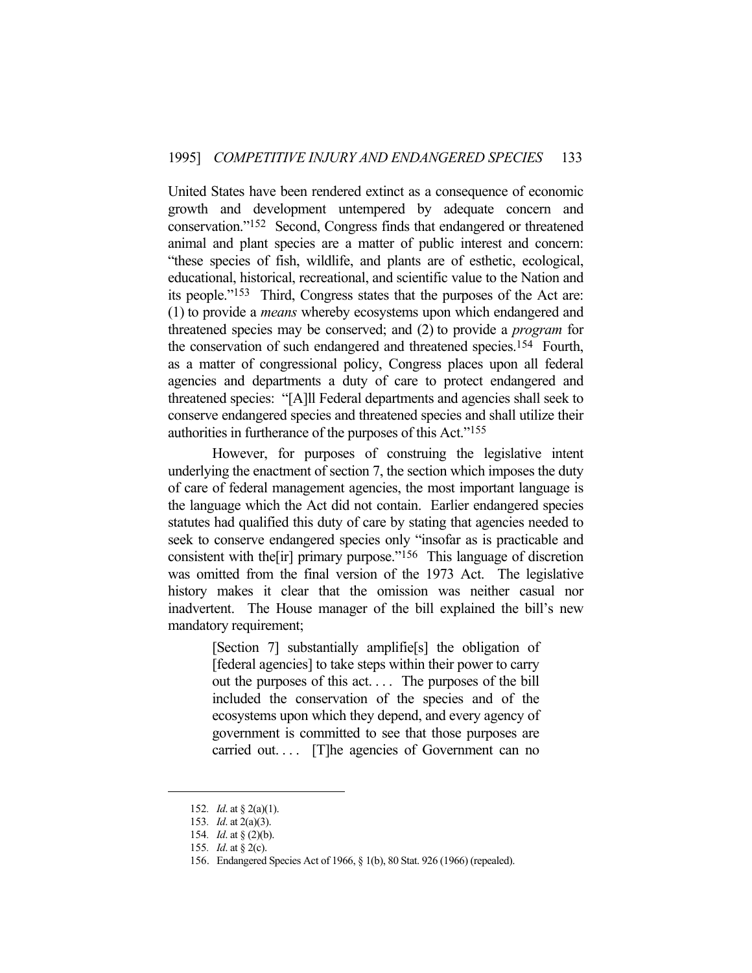United States have been rendered extinct as a consequence of economic growth and development untempered by adequate concern and conservation."152 Second, Congress finds that endangered or threatened animal and plant species are a matter of public interest and concern: "these species of fish, wildlife, and plants are of esthetic, ecological, educational, historical, recreational, and scientific value to the Nation and its people."153 Third, Congress states that the purposes of the Act are: (1) to provide a *means* whereby ecosystems upon which endangered and threatened species may be conserved; and (2) to provide a *program* for the conservation of such endangered and threatened species.154 Fourth, as a matter of congressional policy, Congress places upon all federal agencies and departments a duty of care to protect endangered and threatened species: "[A]ll Federal departments and agencies shall seek to conserve endangered species and threatened species and shall utilize their authorities in furtherance of the purposes of this Act."155

 However, for purposes of construing the legislative intent underlying the enactment of section 7, the section which imposes the duty of care of federal management agencies, the most important language is the language which the Act did not contain. Earlier endangered species statutes had qualified this duty of care by stating that agencies needed to seek to conserve endangered species only "insofar as is practicable and consistent with the[ir] primary purpose."156 This language of discretion was omitted from the final version of the 1973 Act. The legislative history makes it clear that the omission was neither casual nor inadvertent. The House manager of the bill explained the bill's new mandatory requirement;

> [Section 7] substantially amplifie[s] the obligation of [federal agencies] to take steps within their power to carry out the purposes of this act. . . . The purposes of the bill included the conservation of the species and of the ecosystems upon which they depend, and every agency of government is committed to see that those purposes are carried out.... [T]he agencies of Government can no

<sup>152</sup>*. Id*. at § 2(a)(1).

<sup>153</sup>*. Id*. at 2(a)(3).

<sup>154</sup>*. Id*. at § (2)(b).

<sup>155</sup>*. Id*. at § 2(c).

 <sup>156.</sup> Endangered Species Act of 1966, § 1(b), 80 Stat. 926 (1966) (repealed).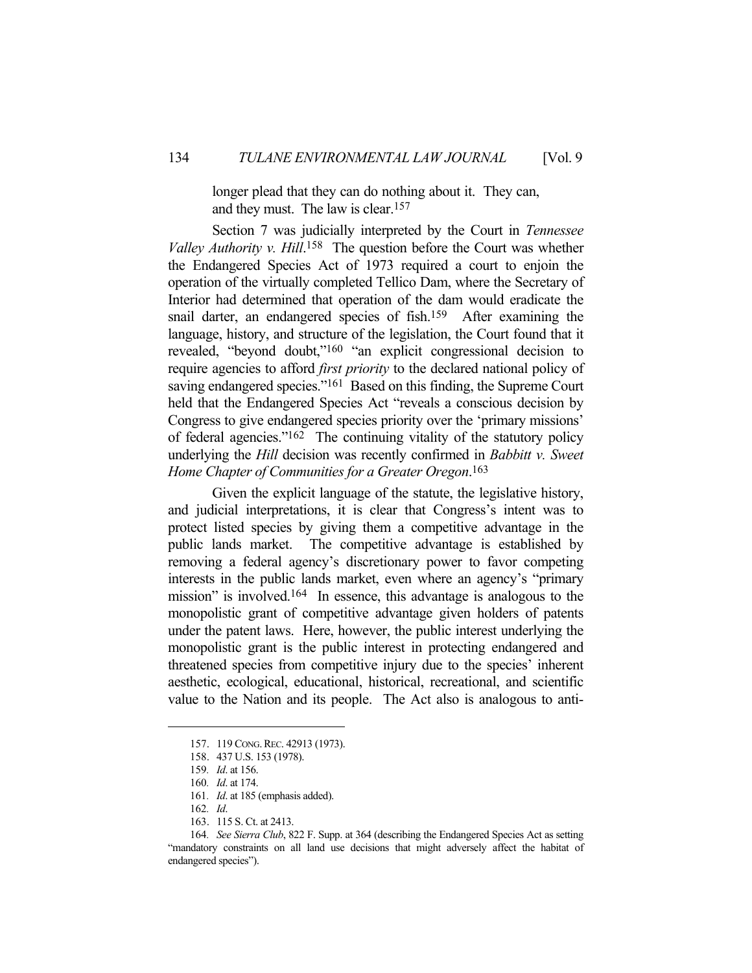longer plead that they can do nothing about it. They can, and they must. The law is clear.157

 Section 7 was judicially interpreted by the Court in *Tennessee Valley Authority v. Hill*. 158 The question before the Court was whether the Endangered Species Act of 1973 required a court to enjoin the operation of the virtually completed Tellico Dam, where the Secretary of Interior had determined that operation of the dam would eradicate the snail darter, an endangered species of fish.159 After examining the language, history, and structure of the legislation, the Court found that it revealed, "beyond doubt,"160 "an explicit congressional decision to require agencies to afford *first priority* to the declared national policy of saving endangered species."<sup>161</sup> Based on this finding, the Supreme Court held that the Endangered Species Act "reveals a conscious decision by Congress to give endangered species priority over the 'primary missions' of federal agencies."162 The continuing vitality of the statutory policy underlying the *Hill* decision was recently confirmed in *Babbitt v. Sweet Home Chapter of Communities for a Greater Oregon*. 163

 Given the explicit language of the statute, the legislative history, and judicial interpretations, it is clear that Congress's intent was to protect listed species by giving them a competitive advantage in the public lands market. The competitive advantage is established by removing a federal agency's discretionary power to favor competing interests in the public lands market, even where an agency's "primary mission" is involved.164 In essence, this advantage is analogous to the monopolistic grant of competitive advantage given holders of patents under the patent laws. Here, however, the public interest underlying the monopolistic grant is the public interest in protecting endangered and threatened species from competitive injury due to the species' inherent aesthetic, ecological, educational, historical, recreational, and scientific value to the Nation and its people. The Act also is analogous to anti-

 <sup>157. 119</sup> CONG.REC. 42913 (1973).

 <sup>158. 437</sup> U.S. 153 (1978).

<sup>159</sup>*. Id*. at 156.

<sup>160</sup>*. Id*. at 174.

<sup>161</sup>*. Id*. at 185 (emphasis added).

<sup>162</sup>*. Id*.

 <sup>163. 115</sup> S. Ct. at 2413.

<sup>164</sup>*. See Sierra Club*, 822 F. Supp. at 364 (describing the Endangered Species Act as setting "mandatory constraints on all land use decisions that might adversely affect the habitat of endangered species").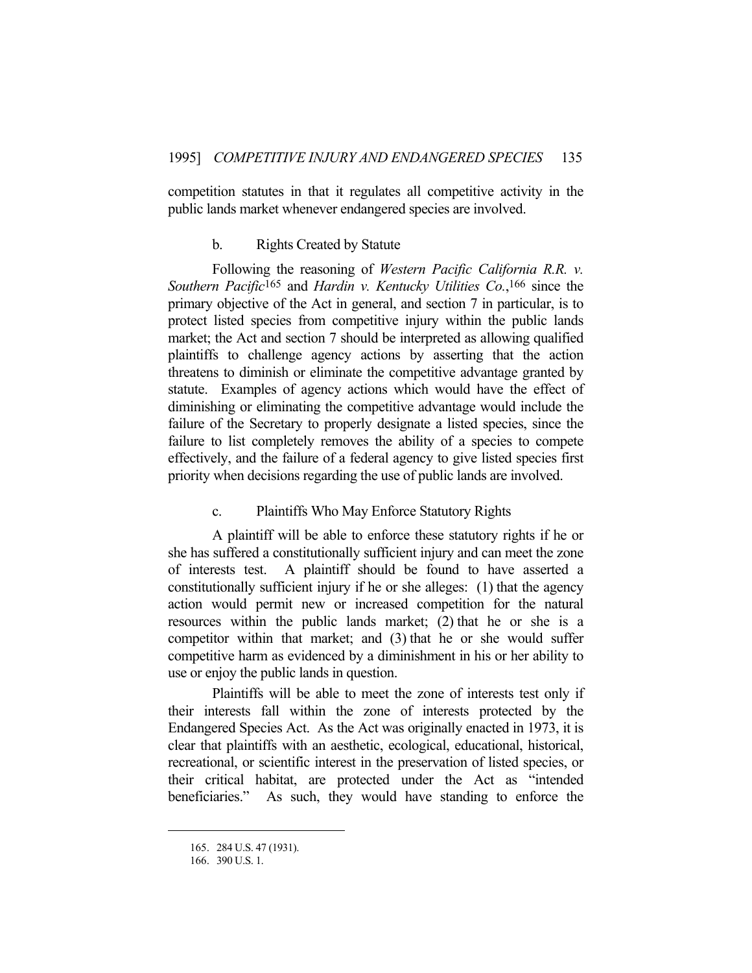competition statutes in that it regulates all competitive activity in the public lands market whenever endangered species are involved.

# b. Rights Created by Statute

 Following the reasoning of *Western Pacific California R.R. v. Southern Pacific*165 and *Hardin v. Kentucky Utilities Co.*, 166 since the primary objective of the Act in general, and section 7 in particular, is to protect listed species from competitive injury within the public lands market; the Act and section 7 should be interpreted as allowing qualified plaintiffs to challenge agency actions by asserting that the action threatens to diminish or eliminate the competitive advantage granted by statute. Examples of agency actions which would have the effect of diminishing or eliminating the competitive advantage would include the failure of the Secretary to properly designate a listed species, since the failure to list completely removes the ability of a species to compete effectively, and the failure of a federal agency to give listed species first priority when decisions regarding the use of public lands are involved.

#### c. Plaintiffs Who May Enforce Statutory Rights

 A plaintiff will be able to enforce these statutory rights if he or she has suffered a constitutionally sufficient injury and can meet the zone of interests test. A plaintiff should be found to have asserted a constitutionally sufficient injury if he or she alleges: (1) that the agency action would permit new or increased competition for the natural resources within the public lands market; (2) that he or she is a competitor within that market; and (3) that he or she would suffer competitive harm as evidenced by a diminishment in his or her ability to use or enjoy the public lands in question.

 Plaintiffs will be able to meet the zone of interests test only if their interests fall within the zone of interests protected by the Endangered Species Act. As the Act was originally enacted in 1973, it is clear that plaintiffs with an aesthetic, ecological, educational, historical, recreational, or scientific interest in the preservation of listed species, or their critical habitat, are protected under the Act as "intended beneficiaries." As such, they would have standing to enforce the

 <sup>165. 284</sup> U.S. 47 (1931).

 <sup>166. 390</sup> U.S. 1.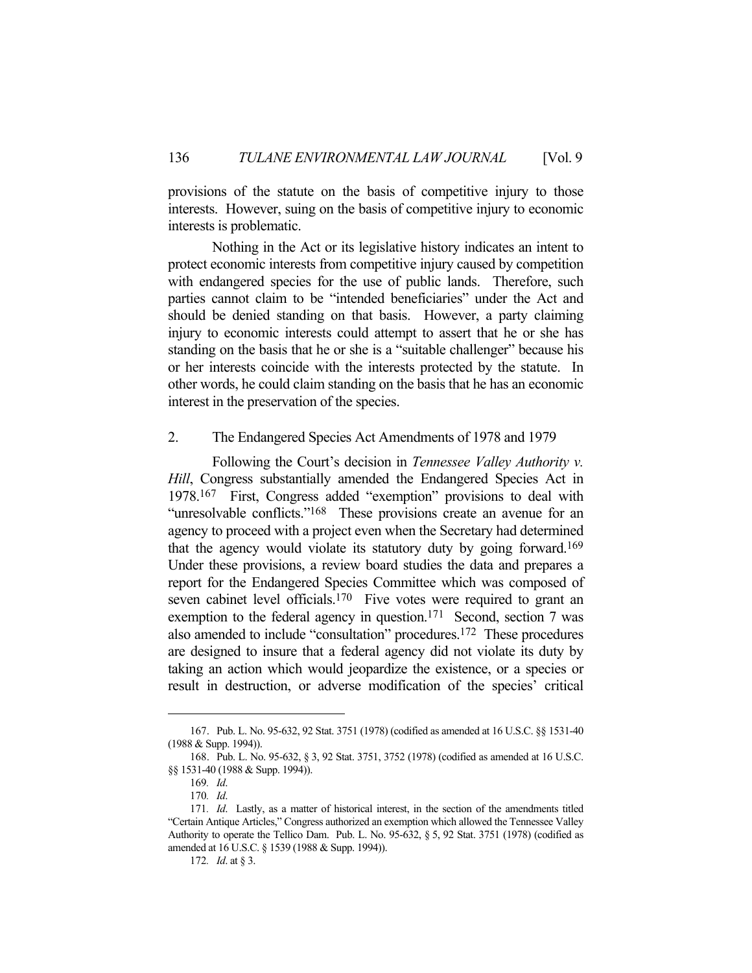provisions of the statute on the basis of competitive injury to those interests. However, suing on the basis of competitive injury to economic interests is problematic.

 Nothing in the Act or its legislative history indicates an intent to protect economic interests from competitive injury caused by competition with endangered species for the use of public lands. Therefore, such parties cannot claim to be "intended beneficiaries" under the Act and should be denied standing on that basis. However, a party claiming injury to economic interests could attempt to assert that he or she has standing on the basis that he or she is a "suitable challenger" because his or her interests coincide with the interests protected by the statute. In other words, he could claim standing on the basis that he has an economic interest in the preservation of the species.

#### 2. The Endangered Species Act Amendments of 1978 and 1979

 Following the Court's decision in *Tennessee Valley Authority v. Hill*, Congress substantially amended the Endangered Species Act in 1978.167 First, Congress added "exemption" provisions to deal with "unresolvable conflicts."<sup>168</sup> These provisions create an avenue for an agency to proceed with a project even when the Secretary had determined that the agency would violate its statutory duty by going forward.169 Under these provisions, a review board studies the data and prepares a report for the Endangered Species Committee which was composed of seven cabinet level officials.<sup>170</sup> Five votes were required to grant an exemption to the federal agency in question.<sup>171</sup> Second, section 7 was also amended to include "consultation" procedures.172 These procedures are designed to insure that a federal agency did not violate its duty by taking an action which would jeopardize the existence, or a species or result in destruction, or adverse modification of the species' critical

 <sup>167.</sup> Pub. L. No. 95-632, 92 Stat. 3751 (1978) (codified as amended at 16 U.S.C. §§ 1531-40 (1988 & Supp. 1994)).

 <sup>168.</sup> Pub. L. No. 95-632, § 3, 92 Stat. 3751, 3752 (1978) (codified as amended at 16 U.S.C. §§ 1531-40 (1988 & Supp. 1994)).

<sup>169</sup>*. Id*.

<sup>170</sup>*. Id*.

<sup>171</sup>*. Id*. Lastly, as a matter of historical interest, in the section of the amendments titled "Certain Antique Articles," Congress authorized an exemption which allowed the Tennessee Valley Authority to operate the Tellico Dam. Pub. L. No. 95-632, § 5, 92 Stat. 3751 (1978) (codified as amended at 16 U.S.C. § 1539 (1988 & Supp. 1994)).

<sup>172</sup>*. Id*. at § 3.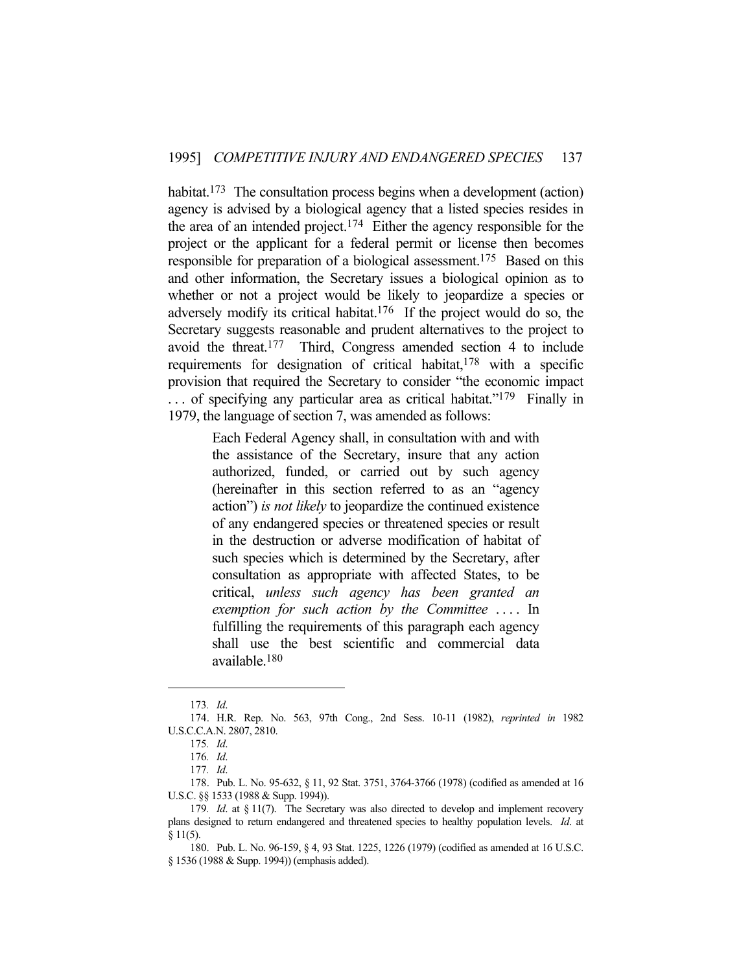habitat.<sup>173</sup> The consultation process begins when a development (action) agency is advised by a biological agency that a listed species resides in the area of an intended project.<sup>174</sup> Either the agency responsible for the project or the applicant for a federal permit or license then becomes responsible for preparation of a biological assessment.175 Based on this and other information, the Secretary issues a biological opinion as to whether or not a project would be likely to jeopardize a species or adversely modify its critical habitat.176 If the project would do so, the Secretary suggests reasonable and prudent alternatives to the project to avoid the threat.177 Third, Congress amended section 4 to include requirements for designation of critical habitat,<sup>178</sup> with a specific provision that required the Secretary to consider "the economic impact ... of specifying any particular area as critical habitat."<sup>179</sup> Finally in 1979, the language of section 7, was amended as follows:

> Each Federal Agency shall, in consultation with and with the assistance of the Secretary, insure that any action authorized, funded, or carried out by such agency (hereinafter in this section referred to as an "agency action") *is not likely* to jeopardize the continued existence of any endangered species or threatened species or result in the destruction or adverse modification of habitat of such species which is determined by the Secretary, after consultation as appropriate with affected States, to be critical, *unless such agency has been granted an exemption for such action by the Committee ....* In fulfilling the requirements of this paragraph each agency shall use the best scientific and commercial data available.180

<sup>173</sup>*. Id*.

 <sup>174.</sup> H.R. Rep. No. 563, 97th Cong., 2nd Sess. 10-11 (1982), *reprinted in* 1982 U.S.C.C.A.N. 2807, 2810.

<sup>175</sup>*. Id*.

<sup>176</sup>*. Id*.

<sup>177</sup>*. Id*.

 <sup>178.</sup> Pub. L. No. 95-632, § 11, 92 Stat. 3751, 3764-3766 (1978) (codified as amended at 16 U.S.C. §§ 1533 (1988 & Supp. 1994)).

<sup>179.</sup> Id. at § 11(7). The Secretary was also directed to develop and implement recovery plans designed to return endangered and threatened species to healthy population levels. *Id*. at § 11(5).

 <sup>180.</sup> Pub. L. No. 96-159, § 4, 93 Stat. 1225, 1226 (1979) (codified as amended at 16 U.S.C. § 1536 (1988 & Supp. 1994)) (emphasis added).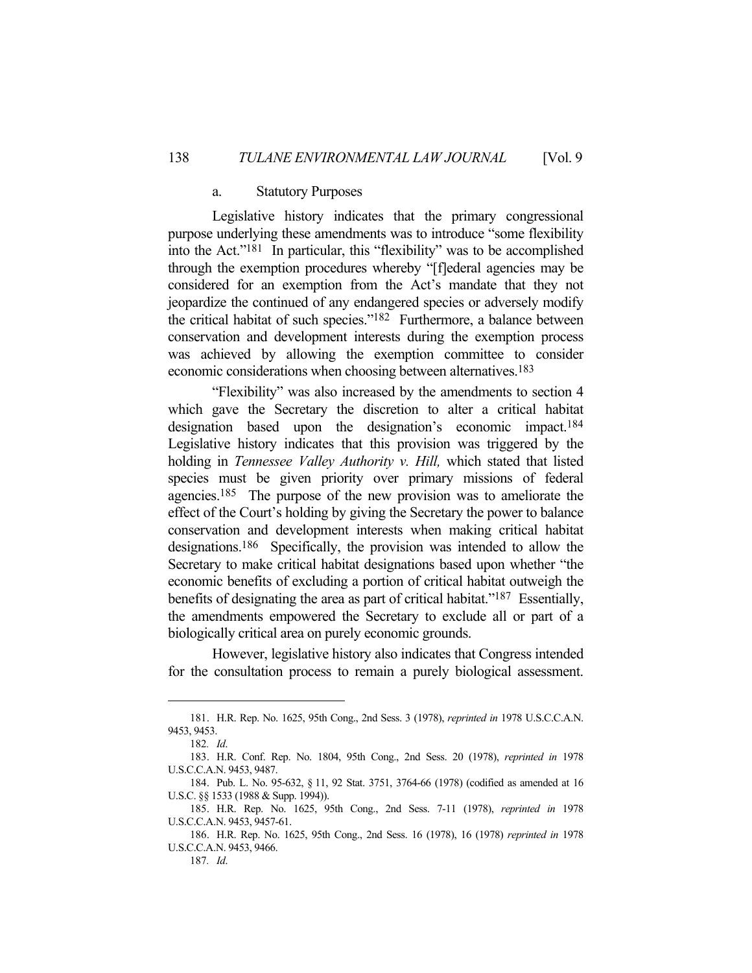### a. Statutory Purposes

 Legislative history indicates that the primary congressional purpose underlying these amendments was to introduce "some flexibility into the Act."181 In particular, this "flexibility" was to be accomplished through the exemption procedures whereby "[f]ederal agencies may be considered for an exemption from the Act's mandate that they not jeopardize the continued of any endangered species or adversely modify the critical habitat of such species."182 Furthermore, a balance between conservation and development interests during the exemption process was achieved by allowing the exemption committee to consider economic considerations when choosing between alternatives.183

 "Flexibility" was also increased by the amendments to section 4 which gave the Secretary the discretion to alter a critical habitat designation based upon the designation's economic impact.184 Legislative history indicates that this provision was triggered by the holding in *Tennessee Valley Authority v. Hill,* which stated that listed species must be given priority over primary missions of federal agencies.185 The purpose of the new provision was to ameliorate the effect of the Court's holding by giving the Secretary the power to balance conservation and development interests when making critical habitat designations.186 Specifically, the provision was intended to allow the Secretary to make critical habitat designations based upon whether "the economic benefits of excluding a portion of critical habitat outweigh the benefits of designating the area as part of critical habitat."187 Essentially, the amendments empowered the Secretary to exclude all or part of a biologically critical area on purely economic grounds.

 However, legislative history also indicates that Congress intended for the consultation process to remain a purely biological assessment.

 <sup>181.</sup> H.R. Rep. No. 1625, 95th Cong., 2nd Sess. 3 (1978), *reprinted in* 1978 U.S.C.C.A.N. 9453, 9453.

<sup>182</sup>*. Id*.

 <sup>183.</sup> H.R. Conf. Rep. No. 1804, 95th Cong., 2nd Sess. 20 (1978), *reprinted in* 1978 U.S.C.C.A.N. 9453, 9487.

 <sup>184.</sup> Pub. L. No. 95-632, § 11, 92 Stat. 3751, 3764-66 (1978) (codified as amended at 16 U.S.C. §§ 1533 (1988 & Supp. 1994)).

 <sup>185.</sup> H.R. Rep. No. 1625, 95th Cong., 2nd Sess. 7-11 (1978), *reprinted in* 1978 U.S.C.C.A.N. 9453, 9457-61.

 <sup>186.</sup> H.R. Rep. No. 1625, 95th Cong., 2nd Sess. 16 (1978), 16 (1978) *reprinted in* 1978 U.S.C.C.A.N. 9453, 9466.

<sup>187</sup>*. Id*.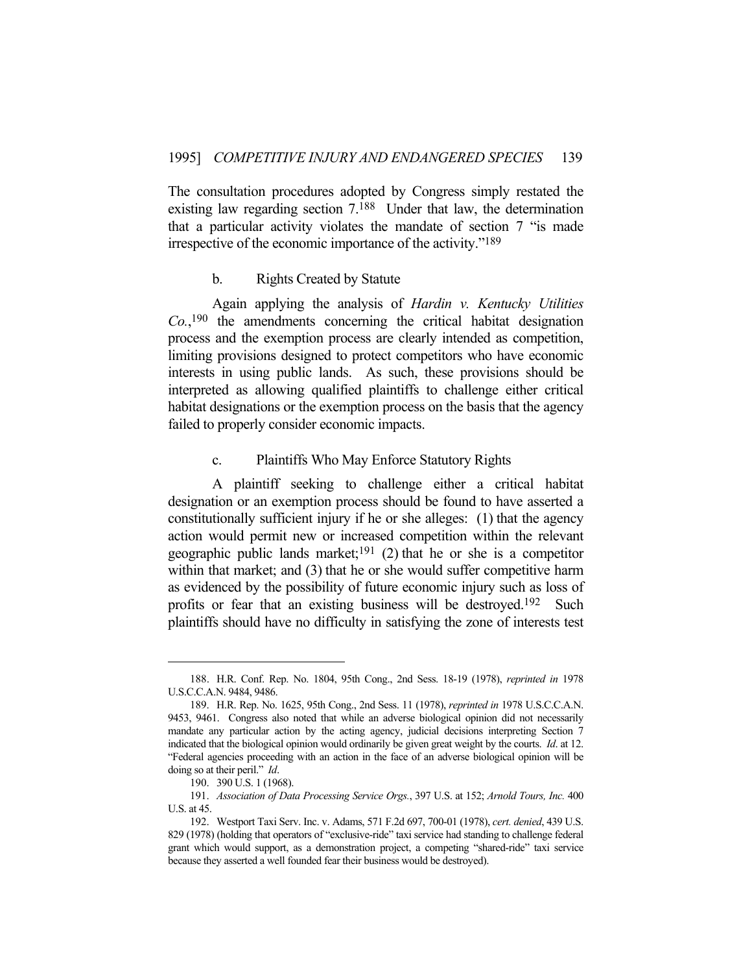The consultation procedures adopted by Congress simply restated the existing law regarding section 7.188 Under that law, the determination that a particular activity violates the mandate of section 7 "is made irrespective of the economic importance of the activity."189

### b. Rights Created by Statute

 Again applying the analysis of *Hardin v. Kentucky Utilities Co.*, 190 the amendments concerning the critical habitat designation process and the exemption process are clearly intended as competition, limiting provisions designed to protect competitors who have economic interests in using public lands. As such, these provisions should be interpreted as allowing qualified plaintiffs to challenge either critical habitat designations or the exemption process on the basis that the agency failed to properly consider economic impacts.

# c. Plaintiffs Who May Enforce Statutory Rights

 A plaintiff seeking to challenge either a critical habitat designation or an exemption process should be found to have asserted a constitutionally sufficient injury if he or she alleges: (1) that the agency action would permit new or increased competition within the relevant geographic public lands market;<sup>191</sup> (2) that he or she is a competitor within that market; and (3) that he or she would suffer competitive harm as evidenced by the possibility of future economic injury such as loss of profits or fear that an existing business will be destroyed.192 Such plaintiffs should have no difficulty in satisfying the zone of interests test

 <sup>188.</sup> H.R. Conf. Rep. No. 1804, 95th Cong., 2nd Sess. 18-19 (1978), *reprinted in* 1978 U.S.C.C.A.N. 9484, 9486.

 <sup>189.</sup> H.R. Rep. No. 1625, 95th Cong., 2nd Sess. 11 (1978), *reprinted in* 1978 U.S.C.C.A.N. 9453, 9461. Congress also noted that while an adverse biological opinion did not necessarily mandate any particular action by the acting agency, judicial decisions interpreting Section 7 indicated that the biological opinion would ordinarily be given great weight by the courts. *Id*. at 12. "Federal agencies proceeding with an action in the face of an adverse biological opinion will be doing so at their peril." *Id*.

 <sup>190. 390</sup> U.S. 1 (1968).

 <sup>191.</sup> *Association of Data Processing Service Orgs.*, 397 U.S. at 152; *Arnold Tours, Inc.* 400 U.S. at 45.

 <sup>192.</sup> Westport Taxi Serv. Inc. v. Adams, 571 F.2d 697, 700-01 (1978), *cert. denied*, 439 U.S. 829 (1978) (holding that operators of "exclusive-ride" taxi service had standing to challenge federal grant which would support, as a demonstration project, a competing "shared-ride" taxi service because they asserted a well founded fear their business would be destroyed).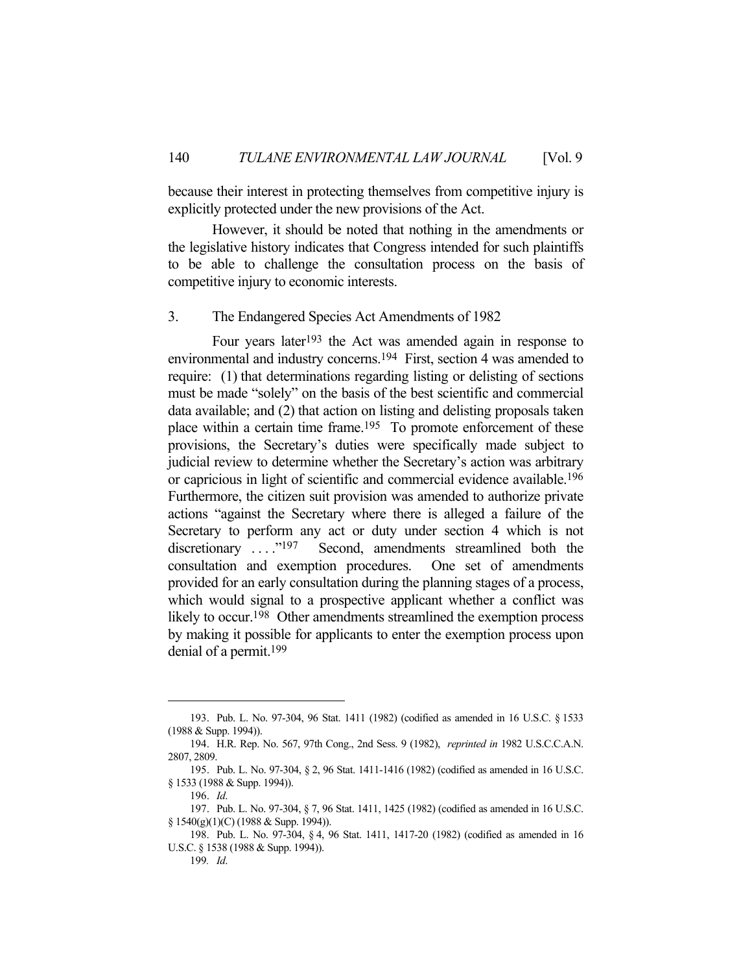because their interest in protecting themselves from competitive injury is explicitly protected under the new provisions of the Act.

 However, it should be noted that nothing in the amendments or the legislative history indicates that Congress intended for such plaintiffs to be able to challenge the consultation process on the basis of competitive injury to economic interests.

### 3. The Endangered Species Act Amendments of 1982

 Four years later193 the Act was amended again in response to environmental and industry concerns.194 First, section 4 was amended to require: (1) that determinations regarding listing or delisting of sections must be made "solely" on the basis of the best scientific and commercial data available; and (2) that action on listing and delisting proposals taken place within a certain time frame.<sup>195</sup> To promote enforcement of these provisions, the Secretary's duties were specifically made subject to judicial review to determine whether the Secretary's action was arbitrary or capricious in light of scientific and commercial evidence available.196 Furthermore, the citizen suit provision was amended to authorize private actions "against the Secretary where there is alleged a failure of the Secretary to perform any act or duty under section 4 which is not discretionary ...."<sup>197</sup> Second, amendments streamlined both the consultation and exemption procedures. One set of amendments provided for an early consultation during the planning stages of a process, which would signal to a prospective applicant whether a conflict was likely to occur.<sup>198</sup> Other amendments streamlined the exemption process by making it possible for applicants to enter the exemption process upon denial of a permit.199

 <sup>193.</sup> Pub. L. No. 97-304, 96 Stat. 1411 (1982) (codified as amended in 16 U.S.C. § 1533 (1988 & Supp. 1994)).

 <sup>194.</sup> H.R. Rep. No. 567, 97th Cong., 2nd Sess. 9 (1982), *reprinted in* 1982 U.S.C.C.A.N. 2807, 2809.

 <sup>195.</sup> Pub. L. No. 97-304, § 2, 96 Stat. 1411-1416 (1982) (codified as amended in 16 U.S.C. § 1533 (1988 & Supp. 1994)).

 <sup>196.</sup> *Id*.

 <sup>197.</sup> Pub. L. No. 97-304, § 7, 96 Stat. 1411, 1425 (1982) (codified as amended in 16 U.S.C. § 1540(g)(1)(C) (1988 & Supp. 1994)).

 <sup>198.</sup> Pub. L. No. 97-304, § 4, 96 Stat. 1411, 1417-20 (1982) (codified as amended in 16 U.S.C. § 1538 (1988 & Supp. 1994)).

<sup>199</sup>*. Id*.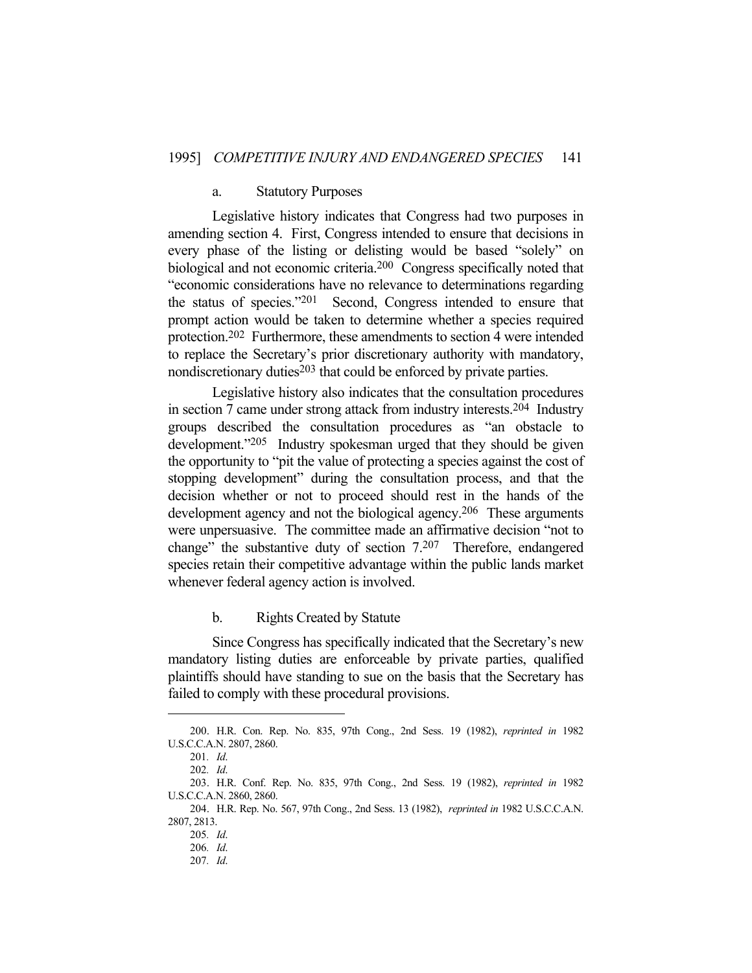### a. Statutory Purposes

 Legislative history indicates that Congress had two purposes in amending section 4. First, Congress intended to ensure that decisions in every phase of the listing or delisting would be based "solely" on biological and not economic criteria.<sup>200</sup> Congress specifically noted that "economic considerations have no relevance to determinations regarding the status of species."201 Second, Congress intended to ensure that prompt action would be taken to determine whether a species required protection.202 Furthermore, these amendments to section 4 were intended to replace the Secretary's prior discretionary authority with mandatory, nondiscretionary duties $203$  that could be enforced by private parties.

 Legislative history also indicates that the consultation procedures in section 7 came under strong attack from industry interests.204 Industry groups described the consultation procedures as "an obstacle to development."205 Industry spokesman urged that they should be given the opportunity to "pit the value of protecting a species against the cost of stopping development" during the consultation process, and that the decision whether or not to proceed should rest in the hands of the development agency and not the biological agency.<sup>206</sup> These arguments were unpersuasive. The committee made an affirmative decision "not to change" the substantive duty of section 7.207 Therefore, endangered species retain their competitive advantage within the public lands market whenever federal agency action is involved.

b. Rights Created by Statute

 Since Congress has specifically indicated that the Secretary's new mandatory listing duties are enforceable by private parties, qualified plaintiffs should have standing to sue on the basis that the Secretary has failed to comply with these procedural provisions.

 <sup>200.</sup> H.R. Con. Rep. No. 835, 97th Cong., 2nd Sess. 19 (1982), *reprinted in* 1982 U.S.C.C.A.N. 2807, 2860.

<sup>201</sup>*. Id*.

<sup>202</sup>*. Id*.

 <sup>203.</sup> H.R. Conf. Rep. No. 835, 97th Cong., 2nd Sess. 19 (1982), *reprinted in* 1982 U.S.C.C.A.N. 2860, 2860.

 <sup>204.</sup> H.R. Rep. No. 567, 97th Cong., 2nd Sess. 13 (1982), *reprinted in* 1982 U.S.C.C.A.N. 2807, 2813.

<sup>205</sup>*. Id*.

<sup>206</sup>*. Id*.

<sup>207</sup>*. Id*.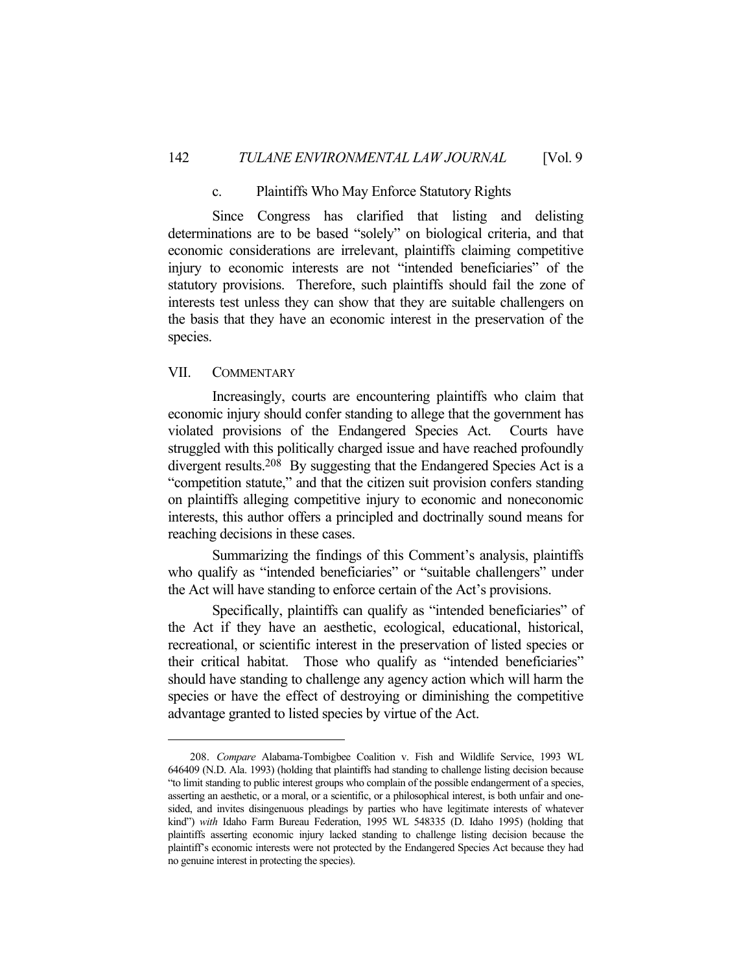### c. Plaintiffs Who May Enforce Statutory Rights

 Since Congress has clarified that listing and delisting determinations are to be based "solely" on biological criteria, and that economic considerations are irrelevant, plaintiffs claiming competitive injury to economic interests are not "intended beneficiaries" of the statutory provisions. Therefore, such plaintiffs should fail the zone of interests test unless they can show that they are suitable challengers on the basis that they have an economic interest in the preservation of the species.

# VII. COMMENTARY

 Increasingly, courts are encountering plaintiffs who claim that economic injury should confer standing to allege that the government has violated provisions of the Endangered Species Act. Courts have struggled with this politically charged issue and have reached profoundly divergent results.208 By suggesting that the Endangered Species Act is a "competition statute," and that the citizen suit provision confers standing on plaintiffs alleging competitive injury to economic and noneconomic interests, this author offers a principled and doctrinally sound means for reaching decisions in these cases.

 Summarizing the findings of this Comment's analysis, plaintiffs who qualify as "intended beneficiaries" or "suitable challengers" under the Act will have standing to enforce certain of the Act's provisions.

 Specifically, plaintiffs can qualify as "intended beneficiaries" of the Act if they have an aesthetic, ecological, educational, historical, recreational, or scientific interest in the preservation of listed species or their critical habitat. Those who qualify as "intended beneficiaries" should have standing to challenge any agency action which will harm the species or have the effect of destroying or diminishing the competitive advantage granted to listed species by virtue of the Act.

<sup>208.</sup> *Compare* Alabama-Tombigbee Coalition v. Fish and Wildlife Service, 1993 WL 646409 (N.D. Ala. 1993) (holding that plaintiffs had standing to challenge listing decision because "to limit standing to public interest groups who complain of the possible endangerment of a species, asserting an aesthetic, or a moral, or a scientific, or a philosophical interest, is both unfair and onesided, and invites disingenuous pleadings by parties who have legitimate interests of whatever kind") *with* Idaho Farm Bureau Federation, 1995 WL 548335 (D. Idaho 1995) (holding that plaintiffs asserting economic injury lacked standing to challenge listing decision because the plaintiff's economic interests were not protected by the Endangered Species Act because they had no genuine interest in protecting the species).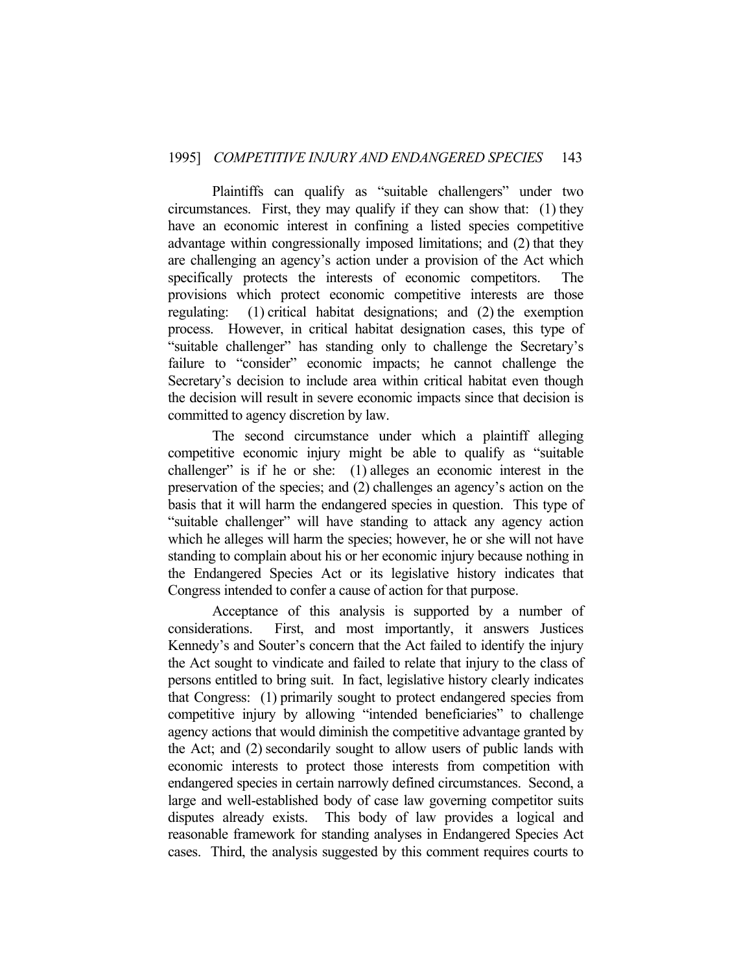Plaintiffs can qualify as "suitable challengers" under two circumstances. First, they may qualify if they can show that: (1) they have an economic interest in confining a listed species competitive advantage within congressionally imposed limitations; and (2) that they are challenging an agency's action under a provision of the Act which specifically protects the interests of economic competitors. The provisions which protect economic competitive interests are those regulating: (1) critical habitat designations; and (2) the exemption process. However, in critical habitat designation cases, this type of "suitable challenger" has standing only to challenge the Secretary's failure to "consider" economic impacts; he cannot challenge the Secretary's decision to include area within critical habitat even though the decision will result in severe economic impacts since that decision is committed to agency discretion by law.

 The second circumstance under which a plaintiff alleging competitive economic injury might be able to qualify as "suitable challenger" is if he or she: (1) alleges an economic interest in the preservation of the species; and (2) challenges an agency's action on the basis that it will harm the endangered species in question. This type of "suitable challenger" will have standing to attack any agency action which he alleges will harm the species; however, he or she will not have standing to complain about his or her economic injury because nothing in the Endangered Species Act or its legislative history indicates that Congress intended to confer a cause of action for that purpose.

 Acceptance of this analysis is supported by a number of considerations. First, and most importantly, it answers Justices Kennedy's and Souter's concern that the Act failed to identify the injury the Act sought to vindicate and failed to relate that injury to the class of persons entitled to bring suit. In fact, legislative history clearly indicates that Congress: (1) primarily sought to protect endangered species from competitive injury by allowing "intended beneficiaries" to challenge agency actions that would diminish the competitive advantage granted by the Act; and (2) secondarily sought to allow users of public lands with economic interests to protect those interests from competition with endangered species in certain narrowly defined circumstances. Second, a large and well-established body of case law governing competitor suits disputes already exists. This body of law provides a logical and reasonable framework for standing analyses in Endangered Species Act cases. Third, the analysis suggested by this comment requires courts to